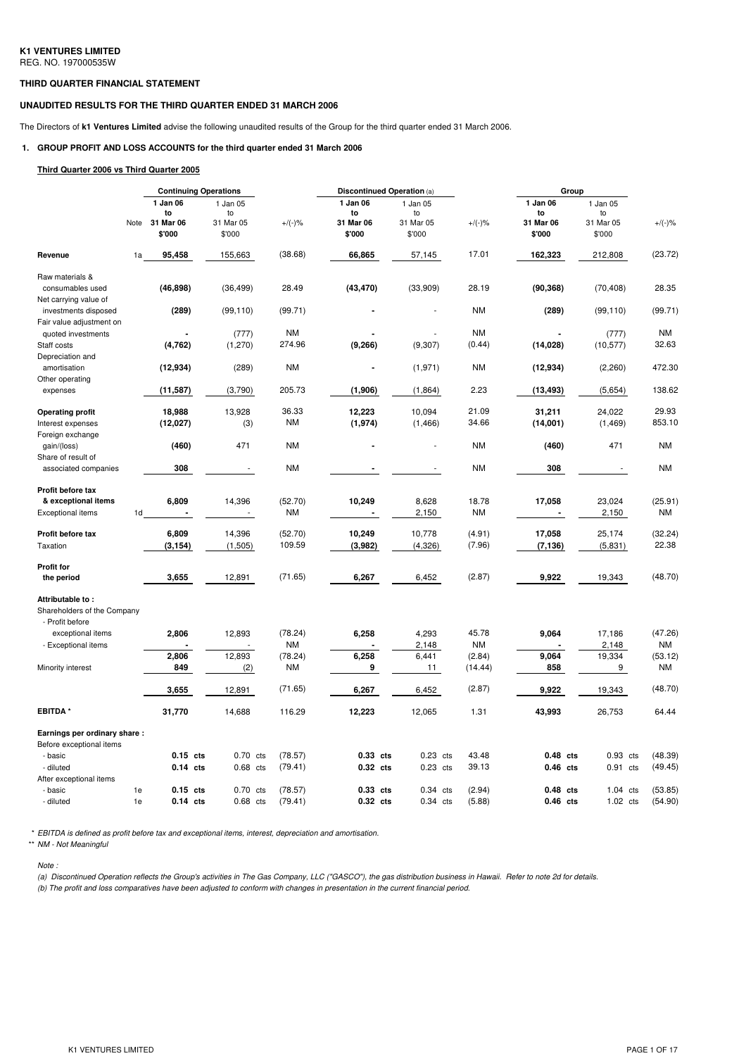### **THIRD QUARTER FINANCIAL STATEMENT**

### **UNAUDITED RESULTS FOR THE THIRD QUARTER ENDED 31 MARCH 2006**

The Directors of **k1 Ventures Limited** advise the following unaudited results of the Group for the third quarter ended 31 March 2006.

### **1. GROUP PROFIT AND LOSS ACCOUNTS for the third quarter ended 31 March 2006**

#### **Third Quarter 2006 vs Third Quarter 2005**

|                                                          |    | <b>Continuing Operations</b>     |  |                             |               |                             | Discontinued Operation (a) |                             |                   |  | Group                       |  |                             |               |
|----------------------------------------------------------|----|----------------------------------|--|-----------------------------|---------------|-----------------------------|----------------------------|-----------------------------|-------------------|--|-----------------------------|--|-----------------------------|---------------|
|                                                          |    | 1 Jan 06<br>to<br>Note 31 Mar 06 |  | 1 Jan 05<br>to<br>31 Mar 05 | $+/(-)$ %     | 1 Jan 06<br>to<br>31 Mar 06 |                            | 1 Jan 05<br>to<br>31 Mar 05 | $+/(-)$ %         |  | 1 Jan 06<br>to<br>31 Mar 06 |  | 1 Jan 05<br>to<br>31 Mar 05 | $+/(-)$ %     |
|                                                          |    | \$'000                           |  | \$'000                      |               | \$'000                      |                            | \$'000                      |                   |  | \$'000                      |  | \$'000                      |               |
| Revenue                                                  | 1a | 95,458                           |  | 155,663                     | (38.68)       | 66,865                      |                            | 57,145                      | 17.01             |  | 162,323                     |  | 212,808                     | (23.72)       |
| Raw materials &                                          |    |                                  |  |                             |               |                             |                            |                             |                   |  |                             |  |                             |               |
| consumables used<br>Net carrying value of                |    | (46, 898)                        |  | (36, 499)                   | 28.49         | (43, 470)                   |                            | (33,909)                    | 28.19             |  | (90, 368)                   |  | (70, 408)                   | 28.35         |
| investments disposed<br>Fair value adjustment on         |    | (289)                            |  | (99, 110)                   | (99.71)       |                             |                            |                             | <b>NM</b>         |  | (289)                       |  | (99, 110)                   | (99.71)       |
| quoted investments                                       |    |                                  |  | (777)                       | <b>NM</b>     |                             |                            |                             | <b>NM</b>         |  |                             |  | (777)                       | ΝM            |
| Staff costs<br>Depreciation and                          |    | (4, 762)                         |  | (1,270)                     | 274.96        | (9,266)                     |                            | (9, 307)                    | (0.44)            |  | (14, 028)                   |  | (10, 577)                   | 32.63         |
| amortisation                                             |    | (12, 934)                        |  | (289)                       | <b>NM</b>     |                             |                            | (1,971)                     | <b>NM</b>         |  | (12, 934)                   |  | (2,260)                     | 472.30        |
| Other operating<br>expenses                              |    | (11, 587)                        |  | (3,790)                     | 205.73        | (1,906)                     |                            | (1,864)                     | 2.23              |  | (13, 493)                   |  | (5,654)                     | 138.62        |
| <b>Operating profit</b>                                  |    | 18,988                           |  | 13,928                      | 36.33         | 12,223                      |                            | 10,094                      | 21.09             |  | 31,211                      |  | 24,022                      | 29.93         |
| Interest expenses                                        |    | (12,027)                         |  | (3)                         | <b>NM</b>     | (1, 974)                    |                            | (1, 466)                    | 34.66             |  | (14,001)                    |  | (1, 469)                    | 853.10        |
| Foreign exchange<br>gain/(loss)<br>Share of result of    |    | (460)                            |  | 471                         | <b>NM</b>     |                             |                            |                             | <b>NM</b>         |  | (460)                       |  | 471                         | ΝM            |
| associated companies                                     |    | 308                              |  |                             | <b>NM</b>     |                             |                            |                             | <b>NM</b>         |  | 308                         |  |                             | <b>NM</b>     |
| Profit before tax                                        |    |                                  |  |                             |               |                             |                            |                             |                   |  |                             |  |                             |               |
| & exceptional items                                      |    | 6,809                            |  | 14,396                      | (52.70)       | 10,249                      |                            | 8,628                       | 18.78             |  | 17,058                      |  | 23,024                      | (25.91)       |
| <b>Exceptional items</b>                                 | 1d |                                  |  | ä,                          | <b>NM</b>     |                             |                            | 2,150                       | <b>NM</b>         |  |                             |  | 2,150                       | ΝM            |
| Profit before tax                                        |    | 6,809                            |  | 14,396                      | (52.70)       | 10,249                      |                            | 10,778                      | (4.91)            |  | 17,058                      |  | 25,174                      | (32.24)       |
| Taxation                                                 |    | (3, 154)                         |  | (1,505)                     | 109.59        | (3,982)                     |                            | (4,326)                     | (7.96)            |  | (7, 136)                    |  | (5,831)                     | 22.38         |
| Profit for                                               |    |                                  |  |                             |               |                             |                            |                             |                   |  |                             |  |                             |               |
| the period                                               |    | 3,655                            |  | 12,891                      | (71.65)       | 6,267                       |                            | 6,452                       | (2.87)            |  | 9,922                       |  | 19,343                      | (48.70)       |
| Attributable to:<br>Shareholders of the Company          |    |                                  |  |                             |               |                             |                            |                             |                   |  |                             |  |                             |               |
| - Profit before<br>exceptional items                     |    | 2,806                            |  | 12,893                      | (78.24)       | 6,258                       |                            | 4,293                       | 45.78             |  | 9,064                       |  | 17,186                      | (47.26)       |
| - Exceptional items                                      |    |                                  |  |                             | <b>NM</b>     |                             |                            | 2,148                       | <b>NM</b>         |  |                             |  | 2,148                       | NM            |
| Minority interest                                        |    | 2,806<br>849                     |  | 12,893<br>(2)               | (78.24)<br>ΝM | 6,258<br>9                  |                            | 6,441<br>11                 | (2.84)<br>(14.44) |  | 9,064<br>858                |  | 19,334<br>9                 | (53.12)<br>ΝM |
|                                                          |    | 3,655                            |  | 12,891                      | (71.65)       | 6,267                       |                            | 6,452                       | (2.87)            |  | 9,922                       |  | 19,343                      | (48.70)       |
| <b>EBITDA*</b>                                           |    | 31,770                           |  | 14,688                      | 116.29        | 12,223                      |                            | 12,065                      | 1.31              |  | 43,993                      |  | 26,753                      | 64.44         |
|                                                          |    |                                  |  |                             |               |                             |                            |                             |                   |  |                             |  |                             |               |
| Earnings per ordinary share:<br>Before exceptional items |    |                                  |  |                             |               |                             |                            |                             |                   |  |                             |  |                             |               |
| - basic                                                  |    | $0.15$ cts                       |  | $0.70$ cts                  | (78.57)       | 0.33 cts                    |                            | $0.23$ cts                  | 43.48             |  | 0.48 cts                    |  | $0.93$ cts                  | (48.39)       |
| - diluted<br>After exceptional items                     |    | $0.14$ cts                       |  | 0.68 cts                    | (79.41)       | 0.32 cts                    |                            | $0.23$ cts                  | 39.13             |  | $0.46$ cts                  |  | $0.91$ cts                  | (49.45)       |
| - basic                                                  | 1e | $0.15$ cts                       |  | 0.70 cts                    | (78.57)       | 0.33 cts                    |                            | $0.34$ cts                  | (2.94)            |  | $0.48$ cts                  |  | $1.04$ cts                  | (53.85)       |
| - diluted                                                | 1e | $0.14$ cts                       |  | $0.68$ cts                  | (79.41)       | 0.32 cts                    |                            | $0.34$ cts                  | (5.88)            |  | $0.46$ cts                  |  | $1.02$ cts                  | (54.90)       |

\* *EBITDA is defined as profit before tax and exceptional items, interest, depreciation and amortisation.*

\*\* *NM - Not Meaningful*

#### *Note :*

(a) Discontinued Operation reflects the Group's activities in The Gas Company, LLC ("GASCO"), the gas distribution business in Hawaii. Refer to note 2d for details.

(b) The profit and loss comparatives have been adjusted to conform with changes in presentation in the current financial period.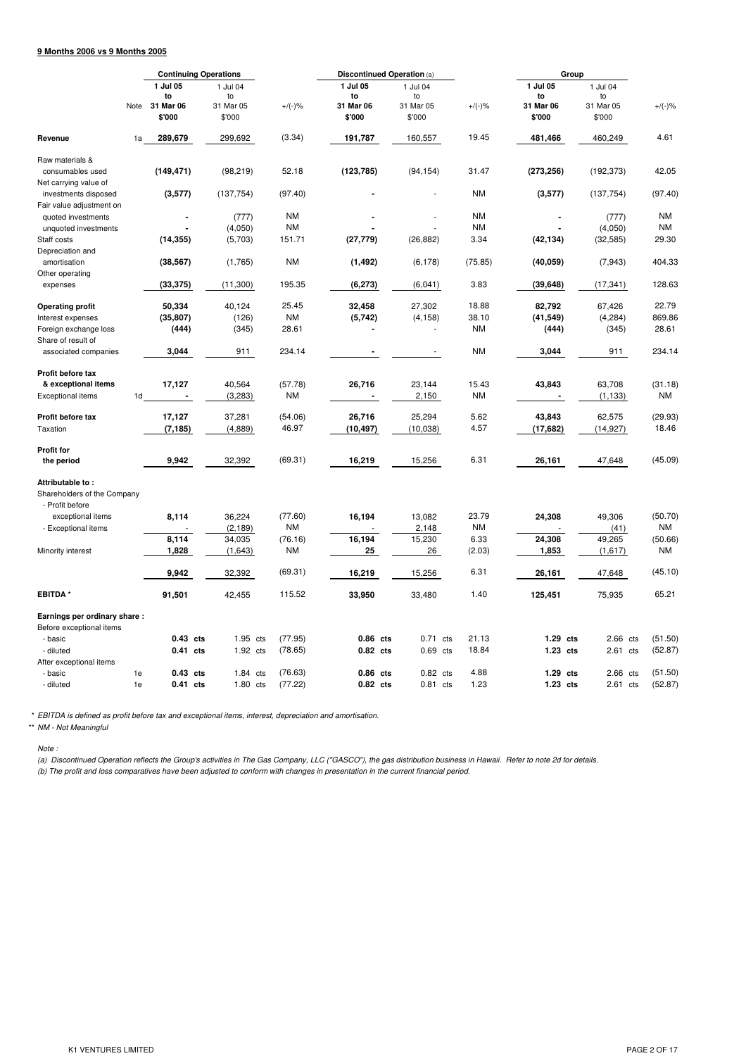# **9 Months 2006 vs 9 Months 2005**

|                                                  | <b>Continuing Operations</b> |                      |  | Discontinued Operation (a) |                    |                      |  |                          |                | Group                    |  |                        |                    |
|--------------------------------------------------|------------------------------|----------------------|--|----------------------------|--------------------|----------------------|--|--------------------------|----------------|--------------------------|--|------------------------|--------------------|
|                                                  |                              | 1 Jul 05<br>to       |  | 1 Jul 04<br>to             |                    | 1 Jul 05<br>to       |  | 1 Jul 04<br>to           |                | 1 Jul 05<br>to           |  | 1 Jul 04<br>to         |                    |
|                                                  | Note                         | 31 Mar 06<br>\$'000  |  | 31 Mar 05<br>\$'000        | $+/(-)$ %          | 31 Mar 06<br>\$'000  |  | 31 Mar 05<br>\$'000      | $+/(-)$ %      | 31 Mar 06<br>\$'000      |  | 31 Mar 05<br>\$'000    | $+/(-)$ %          |
| Revenue                                          | 1a                           | 289,679              |  | 299,692                    | (3.34)             | 191,787              |  | 160,557                  | 19.45          | 481,466                  |  | 460,249                | 4.61               |
| Raw materials &                                  |                              |                      |  |                            |                    |                      |  |                          |                |                          |  |                        |                    |
| consumables used<br>Net carrying value of        |                              | (149, 471)           |  | (98, 219)                  | 52.18              | (123, 785)           |  | (94, 154)                | 31.47          | (273, 256)               |  | (192, 373)             | 42.05              |
| investments disposed<br>Fair value adjustment on |                              | (3,577)              |  | (137, 754)                 | (97.40)            |                      |  |                          | <b>NM</b>      | (3,577)                  |  | (137, 754)             | (97.40)            |
| quoted investments                               |                              |                      |  | (777)                      | <b>NM</b>          |                      |  |                          | <b>NM</b>      |                          |  | (777)                  | <b>NM</b>          |
| unquoted investments                             |                              |                      |  | (4,050)                    | <b>NM</b>          |                      |  |                          | <b>NM</b>      |                          |  | (4,050)                | ΝM                 |
| Staff costs                                      |                              | (14, 355)            |  | (5,703)                    | 151.71             | (27, 779)            |  | (26, 882)                | 3.34           | (42, 134)                |  | (32, 585)              | 29.30              |
| Depreciation and<br>amortisation                 |                              | (38, 567)            |  | (1,765)                    | <b>NM</b>          | (1, 492)             |  | (6, 178)                 | (75.85)        | (40, 059)                |  | (7, 943)               | 404.33             |
| Other operating                                  |                              |                      |  |                            |                    |                      |  |                          |                |                          |  |                        |                    |
| expenses                                         |                              | (33, 375)            |  | (11,300)                   | 195.35             | (6, 273)             |  | (6,041)                  | 3.83           | (39, 648)                |  | (17, 341)              | 128.63             |
| <b>Operating profit</b>                          |                              | 50,334               |  | 40,124                     | 25.45              | 32,458               |  | 27,302                   | 18.88          | 82,792                   |  | 67,426                 | 22.79              |
| Interest expenses                                |                              | (35, 807)            |  | (126)                      | <b>NM</b>          | (5, 742)             |  | (4, 158)                 | 38.10          | (41, 549)                |  | (4, 284)               | 869.86             |
| Foreign exchange loss                            |                              | (444)                |  | (345)                      | 28.61              |                      |  |                          | ΝM             | (444)                    |  | (345)                  | 28.61              |
| Share of result of                               |                              |                      |  |                            |                    |                      |  |                          |                |                          |  |                        |                    |
| associated companies                             |                              | 3,044                |  | 911                        | 234.14             |                      |  |                          | <b>NM</b>      | 3,044                    |  | 911                    | 234.14             |
| Profit before tax                                |                              |                      |  |                            |                    |                      |  |                          |                |                          |  |                        |                    |
| & exceptional items                              |                              | 17,127               |  | 40,564                     | (57.78)            | 26,716               |  | 23,144                   | 15.43          | 43,843                   |  | 63,708                 | (31.18)            |
| <b>Exceptional items</b>                         | 1d                           | $\blacksquare$       |  | (3,283)                    | <b>NM</b>          |                      |  | 2,150                    | NM             | $\overline{\phantom{a}}$ |  | (1, 133)               | <b>NM</b>          |
| Profit before tax                                |                              | 17,127               |  | 37,281                     | (54.06)            | 26,716               |  | 25,294                   | 5.62           | 43,843                   |  | 62,575                 | (29.93)            |
| Taxation                                         |                              | (7, 185)             |  | (4,889)                    | 46.97              | (10, 497)            |  | (10, 038)                | 4.57           | (17, 682)                |  | (14, 927)              | 18.46              |
|                                                  |                              |                      |  |                            |                    |                      |  |                          |                |                          |  |                        |                    |
| <b>Profit for</b>                                |                              |                      |  |                            |                    |                      |  |                          |                |                          |  |                        |                    |
| the period                                       |                              | 9,942                |  | 32,392                     | (69.31)            | 16,219               |  | 15,256                   | 6.31           | 26,161                   |  | 47,648                 | (45.09)            |
| Attributable to:<br>Shareholders of the Company  |                              |                      |  |                            |                    |                      |  |                          |                |                          |  |                        |                    |
| - Profit before                                  |                              |                      |  |                            |                    |                      |  |                          |                |                          |  |                        |                    |
| exceptional items                                |                              | 8,114                |  | 36,224                     | (77.60)            | 16,194               |  | 13,082                   | 23.79          | 24,308                   |  | 49.306                 | (50.70)            |
| - Exceptional items                              |                              |                      |  | (2, 189)                   | <b>NM</b>          |                      |  | 2,148                    | NM             |                          |  | (41)                   | <b>NM</b>          |
|                                                  |                              | 8,114                |  | 34,035                     | (76.16)            | 16,194               |  | 15,230                   | 6.33           | 24,308                   |  | 49,265                 | (50.66)            |
| Minority interest                                |                              | 1,828                |  | (1,643)                    | <b>NM</b>          | 25                   |  | 26                       | (2.03)         | 1,853                    |  | (1,617)                | <b>NM</b>          |
|                                                  |                              | 9,942                |  | 32,392                     | (69.31)            | 16,219               |  | 15,256                   | 6.31           | 26,161                   |  | 47,648                 | (45.10)            |
| <b>EBITDA*</b>                                   |                              | 91,501               |  | 42,455                     | 115.52             | 33,950               |  | 33,480                   | 1.40           | 125,451                  |  | 75,935                 | 65.21              |
| Earnings per ordinary share:                     |                              |                      |  |                            |                    |                      |  |                          |                |                          |  |                        |                    |
| Before exceptional items                         |                              |                      |  |                            |                    |                      |  |                          |                |                          |  |                        |                    |
| - basic<br>- diluted                             |                              | 0.43 cts<br>0.41 cts |  | 1.95 cts<br>1.92 cts       | (77.95)<br>(78.65) | 0.86 cts<br>0.82 cts |  | $0.71$ cts<br>$0.69$ cts | 21.13<br>18.84 | 1.29 cts<br>1.23 cts     |  | 2.66 cts<br>$2.61$ cts | (51.50)<br>(52.87) |
| After exceptional items                          |                              |                      |  |                            |                    |                      |  |                          |                |                          |  |                        |                    |
| - basic                                          | 1e                           | $0.43$ cts           |  | 1.84 cts                   | (76.63)            | 0.86 cts             |  | $0.82$ cts               | 4.88           | 1.29 cts                 |  | 2.66 cts               | (51.50)            |
| - diluted                                        | 1e                           | 0.41 cts             |  | 1.80 cts                   | (77.22)            | 0.82 cts             |  | $0.81$ cts               | 1.23           | 1.23 cts                 |  | $2.61$ cts             | (52.87)            |

\* *EBITDA is defined as profit before tax and exceptional items, interest, depreciation and amortisation.*

\*\* *NM - Not Meaningful*

*Note :*

(a) Discontinued Operation reflects the Group's activities in The Gas Company, LLC ("GASCO"), the gas distribution business in Hawaii. Refer to note 2d for details. (b) The profit and loss comparatives have been adjusted to conform with changes in presentation in the current financial period.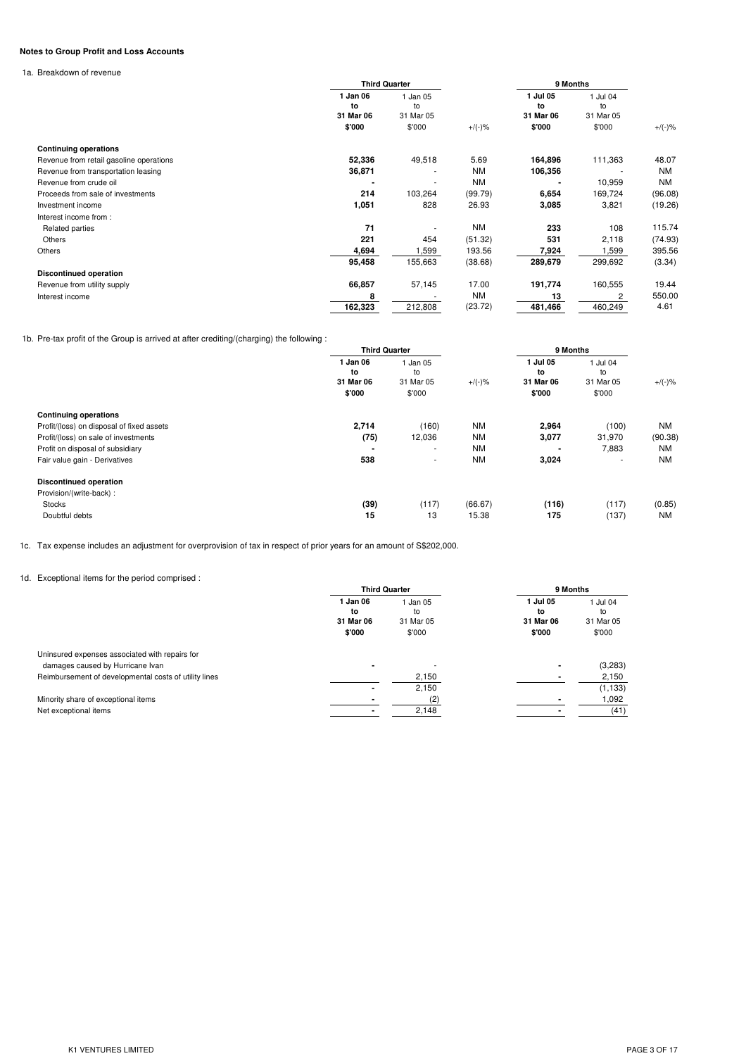# **Notes to Group Profit and Loss Accounts**

1a. Breakdown of revenue

|                                         |                             | <b>Third Quarter</b>        |           | 9 Months                    |                             |            |
|-----------------------------------------|-----------------------------|-----------------------------|-----------|-----------------------------|-----------------------------|------------|
|                                         | 1 Jan 06<br>to<br>31 Mar 06 | 1 Jan 05<br>to<br>31 Mar 05 |           | 1 Jul 05<br>to<br>31 Mar 06 | 1 Jul 04<br>to<br>31 Mar 05 |            |
|                                         | \$'000                      | \$'000                      | $+/(-)$ % | \$'000                      | \$'000                      | $+/(-) \%$ |
| <b>Continuing operations</b>            |                             |                             |           |                             |                             |            |
| Revenue from retail gasoline operations | 52,336                      | 49,518                      | 5.69      | 164,896                     | 111,363                     | 48.07      |
| Revenue from transportation leasing     | 36,871                      | ٠                           | <b>NM</b> | 106,356                     |                             | <b>NM</b>  |
| Revenue from crude oil                  |                             | ٠                           | <b>NM</b> |                             | 10,959                      | <b>NM</b>  |
| Proceeds from sale of investments       | 214                         | 103,264                     | (99.79)   | 6,654                       | 169,724                     | (96.08)    |
| Investment income                       | 1,051                       | 828                         | 26.93     | 3,085                       | 3,821                       | (19.26)    |
| Interest income from:                   |                             |                             |           |                             |                             |            |
| Related parties                         | 71                          |                             | <b>NM</b> | 233                         | 108                         | 115.74     |
| Others                                  | 221                         | 454                         | (51.32)   | 531                         | 2,118                       | (74.93)    |
| Others                                  | 4,694                       | ,599                        | 193.56    | 7,924                       | ,599                        | 395.56     |
|                                         | 95,458                      | 155,663                     | (38.68)   | 289,679                     | 299,692                     | (3.34)     |
| <b>Discontinued operation</b>           |                             |                             |           |                             |                             |            |
| Revenue from utility supply             | 66,857                      | 57,145                      | 17.00     | 191,774                     | 160,555                     | 19.44      |
| Interest income                         | 8                           |                             | <b>NM</b> | 13                          |                             | 550.00     |
|                                         | 162,323                     | 212,808                     | (23.72)   | 481,466                     | 460,249                     | 4.61       |

1b. Pre-tax profit of the Group is arrived at after crediting/(charging) the following :

|                                           |                                       | <b>Third Quarter</b>                  |           | 9 Months                              |                                       |           |
|-------------------------------------------|---------------------------------------|---------------------------------------|-----------|---------------------------------------|---------------------------------------|-----------|
|                                           | 1 Jan 06<br>to<br>31 Mar 06<br>\$'000 | 1 Jan 05<br>to<br>31 Mar 05<br>\$'000 | $+/(-)$ % | 1 Jul 05<br>to<br>31 Mar 06<br>\$'000 | 1 Jul 04<br>to<br>31 Mar 05<br>\$'000 | $+/(-)$ % |
| <b>Continuing operations</b>              |                                       |                                       |           |                                       |                                       |           |
| Profit/(loss) on disposal of fixed assets | 2,714                                 | (160)                                 | ΝM        | 2,964                                 | (100)                                 | NM        |
| Profit/(loss) on sale of investments      | (75)                                  | 12,036                                | ΝM        | 3,077                                 | 31,970                                | (90.38)   |
| Profit on disposal of subsidiary          |                                       | ٠                                     | <b>NM</b> |                                       | 7,883                                 | NM        |
| Fair value gain - Derivatives             | 538                                   | ٠                                     | <b>NM</b> | 3,024                                 |                                       | <b>NM</b> |
| <b>Discontinued operation</b>             |                                       |                                       |           |                                       |                                       |           |
| Provision/(write-back):                   |                                       |                                       |           |                                       |                                       |           |
| <b>Stocks</b>                             | (39)                                  | (117)                                 | (66.67)   | (116)                                 | (117)                                 | (0.85)    |
| Doubtful debts                            | 15                                    | 13                                    | 15.38     | 175                                   | (137)                                 | <b>NM</b> |

1c. Tax expense includes an adjustment for overprovision of tax in respect of prior years for an amount of S\$202,000.

# 1d. Exceptional items for the period comprised :

|                                                       |                                       | <b>Third Quarter</b>                | 9 Months                              |                                       |  |
|-------------------------------------------------------|---------------------------------------|-------------------------------------|---------------------------------------|---------------------------------------|--|
|                                                       | 1 Jan 06<br>to<br>31 Mar 06<br>\$'000 | Jan 05<br>to<br>31 Mar 05<br>\$'000 | 1 Jul 05<br>to<br>31 Mar 06<br>\$'000 | 1 Jul 04<br>to<br>31 Mar 05<br>\$'000 |  |
| Uninsured expenses associated with repairs for        |                                       |                                     |                                       |                                       |  |
| damages caused by Hurricane Ivan                      | $\blacksquare$                        |                                     |                                       | (3,283)                               |  |
| Reimbursement of developmental costs of utility lines |                                       | 2,150                               |                                       | 2,150                                 |  |
|                                                       |                                       | 2,150                               |                                       | (1, 133)                              |  |
| Minority share of exceptional items                   |                                       | (2)                                 |                                       | 1,092                                 |  |
| Net exceptional items                                 |                                       | 2,148                               |                                       | (41)                                  |  |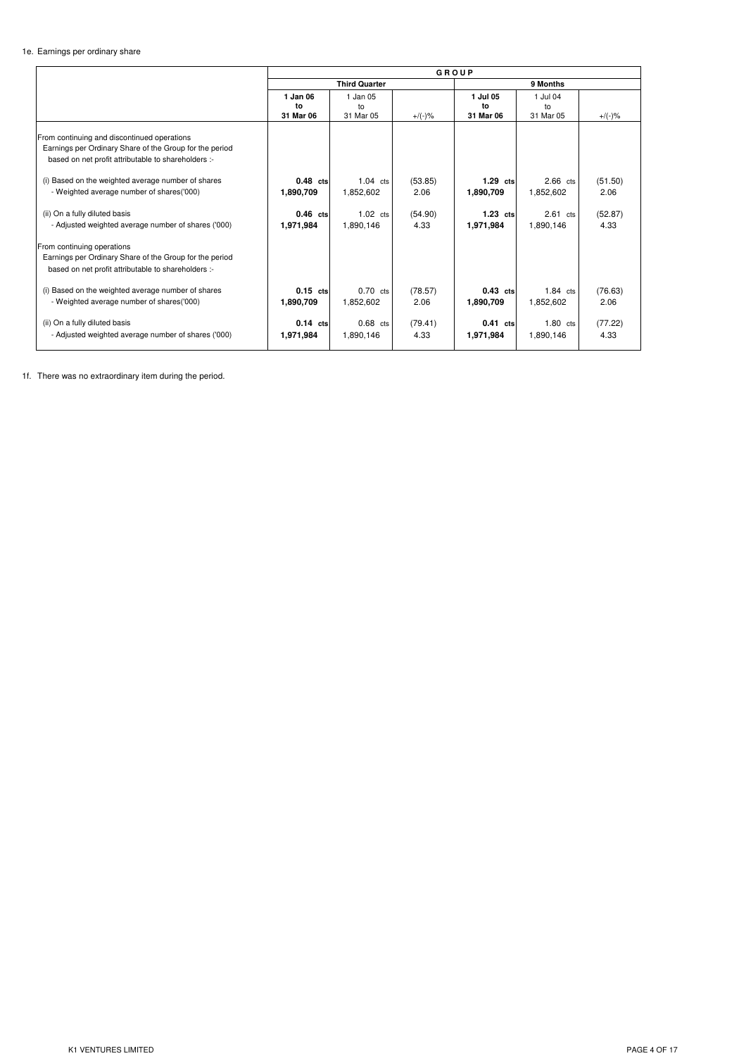# 1e. Earnings per ordinary share

|                                                                                                                                                                                                                                                                  | GROUP                       |                                 |                 |                             |                             |                 |  |
|------------------------------------------------------------------------------------------------------------------------------------------------------------------------------------------------------------------------------------------------------------------|-----------------------------|---------------------------------|-----------------|-----------------------------|-----------------------------|-----------------|--|
|                                                                                                                                                                                                                                                                  | <b>Third Quarter</b>        |                                 |                 |                             | 9 Months                    |                 |  |
|                                                                                                                                                                                                                                                                  | 1 Jan 06<br>to<br>31 Mar 06 | 1 Jan 05<br>to<br>31 Mar 05     | $+/(-)$ %       | 1 Jul 05<br>to<br>31 Mar 06 | 1 Jul 04<br>to<br>31 Mar 05 | $+/(-) \%$      |  |
| From continuing and discontinued operations<br>Earnings per Ordinary Share of the Group for the period<br>based on net profit attributable to shareholders :-<br>(i) Based on the weighted average number of shares<br>- Weighted average number of shares('000) | $0.48$ cts<br>1,890,709     | $1.04$ cts<br>1,852,602         | (53.85)<br>2.06 | $1.29$ cts<br>1,890,709     | $2.66$ cts<br>1,852,602     | (51.50)<br>2.06 |  |
| (ii) On a fully diluted basis<br>- Adjusted weighted average number of shares ('000)<br>From continuing operations                                                                                                                                               | $0.46$ cts<br>1,971,984     | $1.02 \text{ cts}$<br>1,890,146 | (54.90)<br>4.33 | $1.23$ cts<br>1,971,984     | $2.61$ cts<br>1,890,146     | (52.87)<br>4.33 |  |
| Earnings per Ordinary Share of the Group for the period<br>based on net profit attributable to shareholders :-                                                                                                                                                   |                             |                                 |                 |                             |                             |                 |  |
| (i) Based on the weighted average number of shares<br>- Weighted average number of shares('000)                                                                                                                                                                  | $0.15$ cts<br>1,890,709     | $0.70$ cts<br>1,852,602         | (78.57)<br>2.06 | $0.43$ cts<br>1,890,709     | $1.84$ cts<br>1,852,602     | (76.63)<br>2.06 |  |
| (ii) On a fully diluted basis<br>- Adjusted weighted average number of shares ('000)                                                                                                                                                                             | $0.14$ cts<br>1,971,984     | $0.68$ cts<br>1.890.146         | (79.41)<br>4.33 | $0.41$ cts<br>1,971,984     | $1.80$ cts<br>1.890.146     | (77.22)<br>4.33 |  |

1f. There was no extraordinary item during the period.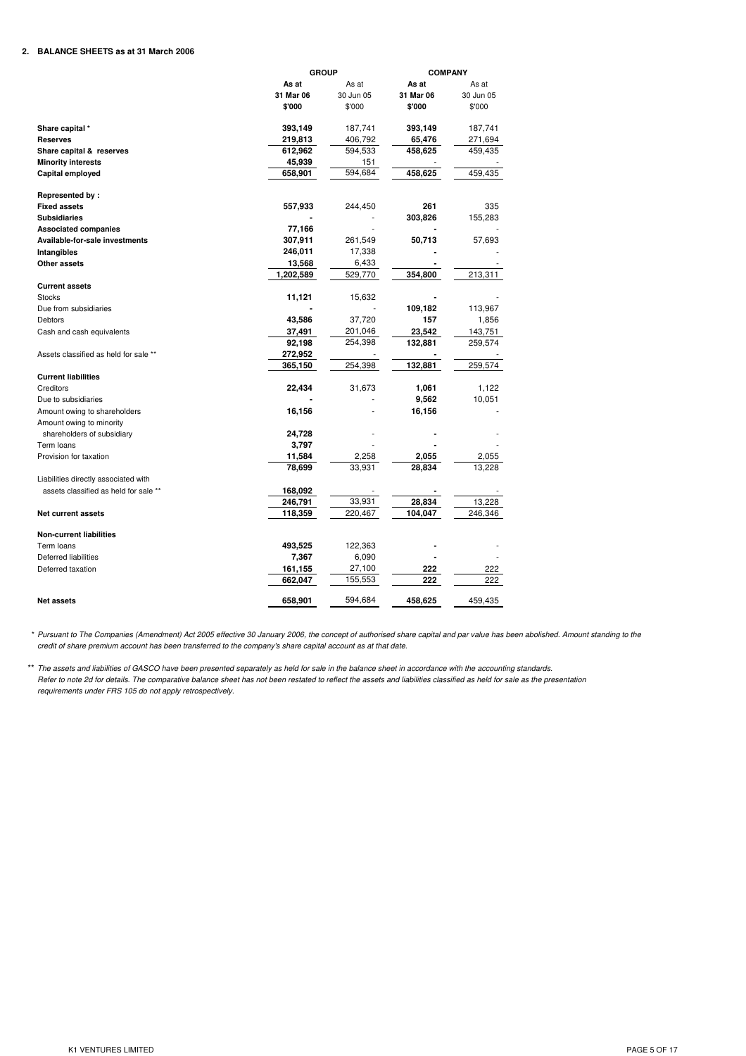# **2. BALANCE SHEETS as at 31 March 2006**

|                                       |           | <b>GROUP</b> |           |           |
|---------------------------------------|-----------|--------------|-----------|-----------|
|                                       | As at     | As at        | As at     | As at     |
|                                       | 31 Mar 06 | 30 Jun 05    | 31 Mar 06 | 30 Jun 05 |
|                                       | \$'000    | \$'000       | \$'000    | \$'000    |
| Share capital *                       | 393,149   | 187,741      | 393,149   | 187,741   |
| <b>Reserves</b>                       | 219,813   | 406,792      | 65,476    | 271,694   |
| Share capital & reserves              | 612,962   | 594,533      | 458,625   | 459,435   |
| <b>Minority interests</b>             | 45,939    | 151          |           |           |
| Capital employed                      | 658,901   | 594,684      | 458,625   | 459,435   |
| Represented by:                       |           |              |           |           |
| <b>Fixed assets</b>                   | 557,933   | 244,450      | 261       | 335       |
| <b>Subsidiaries</b>                   |           |              | 303,826   | 155,283   |
| <b>Associated companies</b>           | 77,166    |              |           |           |
| Available-for-sale investments        | 307,911   | 261,549      | 50,713    | 57,693    |
| Intangibles                           | 246,011   | 17,338       |           |           |
| Other assets                          | 13,568    | 6,433        |           |           |
|                                       | 1,202,589 | 529,770      | 354,800   | 213,311   |
| <b>Current assets</b>                 |           |              |           |           |
| <b>Stocks</b>                         | 11,121    | 15,632       |           |           |
| Due from subsidiaries                 |           |              | 109,182   | 113,967   |
| <b>Debtors</b>                        | 43,586    | 37,720       | 157       | 1,856     |
| Cash and cash equivalents             | 37,491    | 201,046      | 23,542    | 143,751   |
|                                       | 92,198    | 254,398      | 132,881   | 259,574   |
| Assets classified as held for sale ** | 272,952   |              |           |           |
|                                       | 365,150   | 254,398      | 132,881   | 259,574   |
| <b>Current liabilities</b>            |           |              |           |           |
| Creditors                             | 22,434    | 31,673       | 1,061     | 1,122     |
| Due to subsidiaries                   |           |              | 9,562     | 10,051    |
| Amount owing to shareholders          | 16,156    |              | 16,156    |           |
| Amount owing to minority              |           |              |           |           |
| shareholders of subsidiary            | 24,728    |              |           |           |
| Term loans                            | 3,797     |              |           |           |
| Provision for taxation                | 11,584    | 2,258        | 2,055     | 2,055     |
|                                       | 78,699    | 33,931       | 28,834    | 13,228    |
| Liabilities directly associated with  |           |              |           |           |
| assets classified as held for sale ** | 168,092   |              |           |           |
|                                       | 246,791   | 33,931       | 28,834    | 13,228    |
| <b>Net current assets</b>             | 118,359   | 220,467      | 104,047   | 246,346   |
| <b>Non-current liabilities</b>        |           |              |           |           |
| Term loans                            | 493,525   | 122,363      |           |           |
| <b>Deferred liabilities</b>           | 7,367     | 6,090        |           |           |
| Deferred taxation                     | 161,155   | 27,100       | 222       | 222       |
|                                       | 662,047   | 155,553      | 222       | 222       |
| <b>Net assets</b>                     | 658,901   | 594,684      | 458,625   | 459,435   |

\* Pursuant to The Companies (Amendment) Act 2005 effective 30 January 2006, the concept of authorised share capital and par value has been abolished. Amount standing to the credit of share premium account has been transferred to the company's share capital account as at that date.

\*\* The assets and liabilities of GASCO have been presented separately as held for sale in the balance sheet in accordance with the accounting standards. *requirements under FRS 105 do not apply retrospectively.* Refer to note 2d for details. The comparative balance sheet has not been restated to reflect the assets and liabilities classified as held for sale as the presentation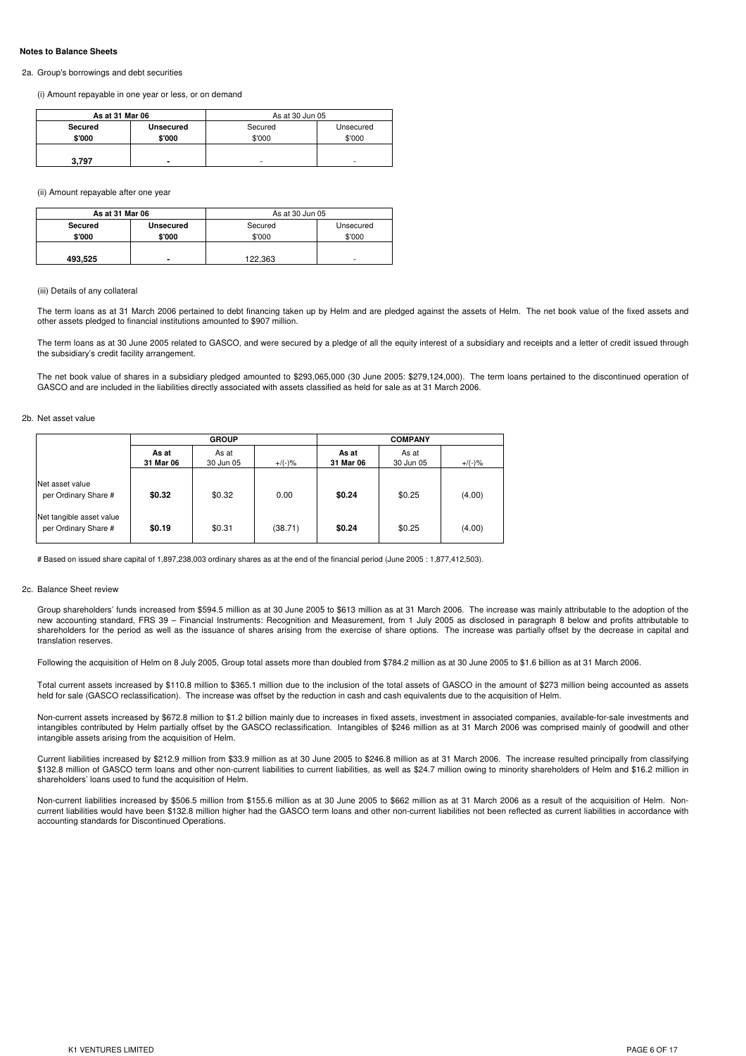#### **Notes to Balance Sheets**

#### 2a. Group's borrowings and debt securities

(i) Amount repayable in one year or less, or on demand

| As at 31 Mar 06 |                  | As at 30 Jun 05 |           |  |  |  |
|-----------------|------------------|-----------------|-----------|--|--|--|
| Secured         | <b>Unsecured</b> | Secured         | Unsecured |  |  |  |
| \$'000          | \$'000           | \$'000          | \$'000    |  |  |  |
|                 |                  |                 |           |  |  |  |
| 3.797           | ۰                | ۰               | ۰         |  |  |  |

(ii) Amount repayable after one year

| As at 31 Mar 06 |                  | As at 30 Jun 05 |           |  |  |  |
|-----------------|------------------|-----------------|-----------|--|--|--|
| Secured         | <b>Unsecured</b> | Secured         | Unsecured |  |  |  |
| \$'000          | \$'000           | \$'000          | \$'000    |  |  |  |
|                 |                  |                 |           |  |  |  |
| 493,525         | -                | 122.363         | ۰         |  |  |  |

#### (iii) Details of any collateral

The term loans as at 31 March 2006 pertained to debt financing taken up by Helm and are pledged against the assets of Helm. The net book value of the fixed assets and other assets pledged to financial institutions amounted to \$907 million.

The term loans as at 30 June 2005 related to GASCO, and were secured by a pledge of all the equity interest of a subsidiary and receipts and a letter of credit issued through the subsidiary's credit facility arrangement.

The net book value of shares in a subsidiary pledged amounted to \$293,065,000 (30 June 2005: \$279,124,000). The term loans pertained to the discontinued operation of GASCO and are included in the liabilities directly associated with assets classified as held for sale as at 31 March 2006.

2b. Net asset value

|                                                  |                    | <b>GROUP</b>       |           | <b>COMPANY</b>     |                    |           |  |
|--------------------------------------------------|--------------------|--------------------|-----------|--------------------|--------------------|-----------|--|
|                                                  | As at<br>31 Mar 06 | As at<br>30 Jun 05 | $+/(-)$ % | As at<br>31 Mar 06 | As at<br>30 Jun 05 | $+/(-)$ % |  |
| Net asset value<br>per Ordinary Share #          | \$0.32             | \$0.32             | 0.00      | \$0.24             | \$0.25             | (4.00)    |  |
| Net tangible asset value<br>per Ordinary Share # | \$0.19             | \$0.31             | (38.71)   | \$0.24             | \$0.25             | (4.00)    |  |

# Based on issued share capital of 1,897,238,003 ordinary shares as at the end of the financial period (June 2005 : 1,877,412,503).

#### 2c. Balance Sheet review

Group shareholders' funds increased from \$594.5 million as at 30 June 2005 to \$613 million as at 31 March 2006. The increase was mainly attributable to the adoption of the new accounting standard, FRS 39 – Financial Instruments: Recognition and Measurement, from 1 July 2005 as disclosed in paragraph 8 below and profits attributable to shareholders for the period as well as the issuance of shares arising from the exercise of share options. The increase was partially offset by the decrease in capital and translation reserves.

Following the acquisition of Helm on 8 July 2005, Group total assets more than doubled from \$784.2 million as at 30 June 2005 to \$1.6 billion as at 31 March 2006.

Total current assets increased by \$110.8 million to \$365.1 million due to the inclusion of the total assets of GASCO in the amount of \$273 million being accounted as assets held for sale (GASCO reclassification). The increase was offset by the reduction in cash and cash equivalents due to the acquisition of Helm.

Non-current assets increased by \$672.8 million to \$1.2 billion mainly due to increases in fixed assets, investment in associated companies, available-for-sale investments and intangibles contributed by Helm partially offset by the GASCO reclassification. Intangibles of \$246 million as at 31 March 2006 was comprised mainly of goodwill and other intangible assets arising from the acquisition of Helm.

Current liabilities increased by \$212.9 million from \$33.9 million as at 30 June 2005 to \$246.8 million as at 31 March 2006. The increase resulted principally from classifying \$132.8 million of GASCO term loans and other non-current liabilities to current liabilities, as well as \$24.7 million owing to minority shareholders of Helm and \$16.2 million in shareholders' loans used to fund the acquisition of Helm.

Non-current liabilities increased by \$506.5 million from \$155.6 million as at 30 June 2005 to \$662 million as at 31 March 2006 as a result of the acquisition of Helm. Noncurrent liabilities would have been \$132.8 million higher had the GASCO term loans and other non-current liabilities not been reflected as current liabilities in accordance with accounting standards for Discontinued Operations.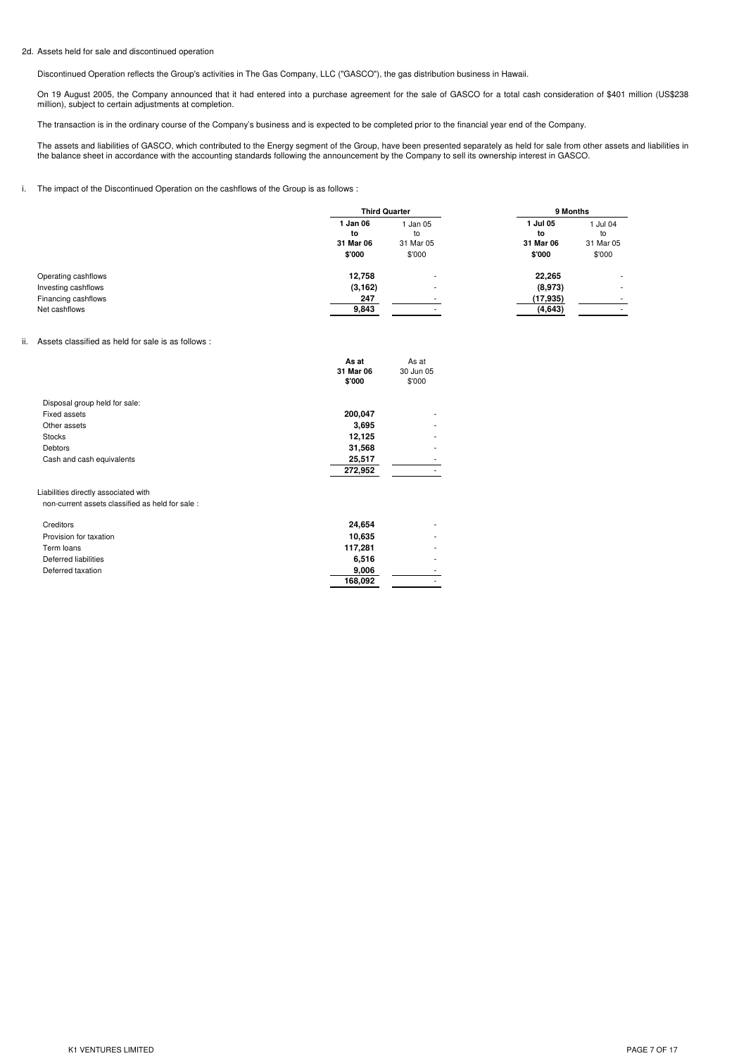#### 2d. Assets held for sale and discontinued operation

Discontinued Operation reflects the Group's activities in The Gas Company, LLC ("GASCO"), the gas distribution business in Hawaii.

On 19 August 2005, the Company announced that it had entered into a purchase agreement for the sale of GASCO for a total cash consideration of \$401 million (US\$238 million), subject to certain adjustments at completion.

The transaction is in the ordinary course of the Company's business and is expected to be completed prior to the financial year end of the Company.

The assets and liabilities of GASCO, which contributed to the Energy segment of the Group, have been presented separately as held for sale from other assets and liabilities in the balance sheet in accordance with the accounting standards following the announcement by the Company to sell its ownership interest in GASCO.

### i. The impact of the Discontinued Operation on the cashflows of the Group is as follows :

|                     | <b>Third Quarter</b>                |                                       | 9 Months                              |                                       |
|---------------------|-------------------------------------|---------------------------------------|---------------------------------------|---------------------------------------|
|                     | Jan 06<br>to<br>31 Mar 06<br>\$'000 | 1 Jan 05<br>to<br>31 Mar 05<br>\$'000 | 1 Jul 05<br>to<br>31 Mar 06<br>\$'000 | 1 Jul 04<br>to<br>31 Mar 05<br>\$'000 |
| Operating cashflows | 12,758                              |                                       | 22,265                                | ۰.                                    |
| Investing cashflows | (3, 162)                            | ۰                                     | (8,973)                               |                                       |
| Financing cashflows | 247                                 |                                       | (17,935)                              |                                       |
| Net cashflows       | 9,843                               |                                       | (4,643)                               |                                       |

#### ii. Assets classified as held for sale is as follows :

|                                                 | As at     | As at     |  |
|-------------------------------------------------|-----------|-----------|--|
|                                                 | 31 Mar 06 | 30 Jun 05 |  |
|                                                 | \$'000    | \$'000    |  |
| Disposal group held for sale:                   |           |           |  |
| <b>Fixed assets</b>                             | 200,047   |           |  |
| Other assets                                    | 3,695     |           |  |
| <b>Stocks</b>                                   | 12,125    |           |  |
| <b>Debtors</b>                                  | 31,568    |           |  |
| Cash and cash equivalents                       | 25,517    |           |  |
|                                                 | 272,952   |           |  |
| Liabilities directly associated with            |           |           |  |
| non-current assets classified as held for sale: |           |           |  |
| Creditors                                       | 24,654    |           |  |
| Provision for taxation                          | 10,635    |           |  |
| Term loans                                      | 117,281   |           |  |
| Deferred liabilities                            | 6,516     |           |  |
| Deferred taxation                               | 9,006     |           |  |
|                                                 | 168,092   |           |  |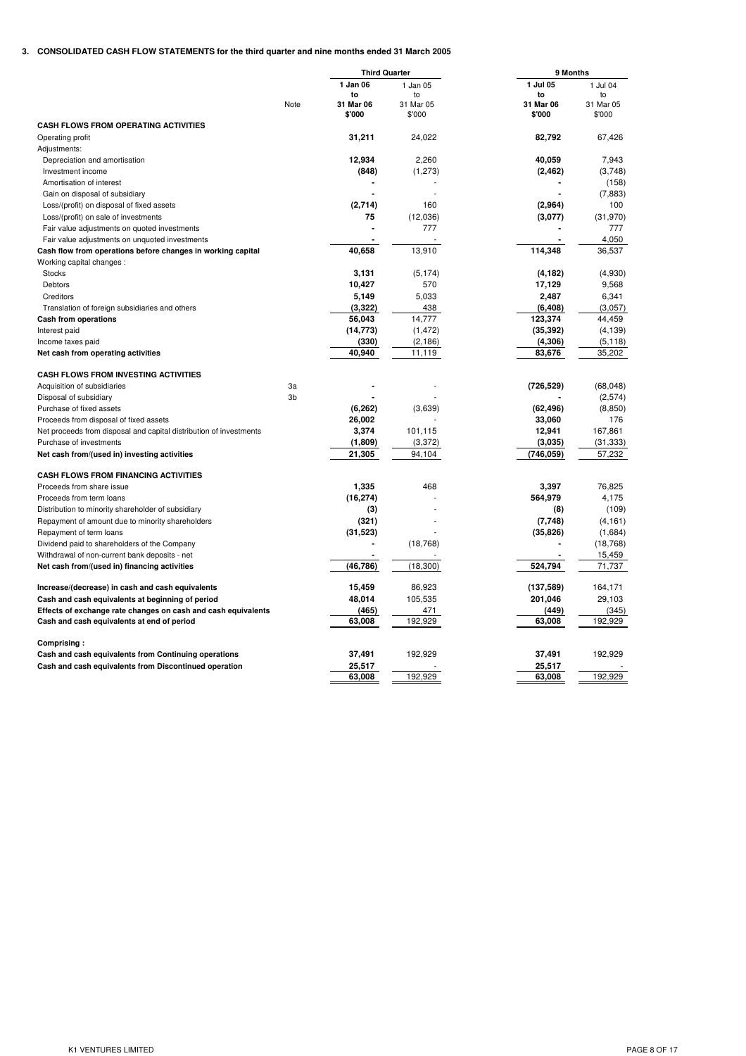# **3. CONSOLIDATED CASH FLOW STATEMENTS for the third quarter and nine months ended 31 March 2005**

| 1 Jan 06<br>1 Jul 05<br>1 Jul 04<br>1 Jan 05<br>to<br>to<br>$10$<br>to<br>31 Mar 06<br>31 Mar 06<br>31 Mar 05<br>31 Mar 05<br>Note<br>\$'000<br>\$'000<br>\$'000<br>\$'000<br><b>CASH FLOWS FROM OPERATING ACTIVITIES</b><br>31,211<br>24,022<br>82.792<br>67,426<br>Operating profit<br>Adjustments:<br>12,934<br>2,260<br>40,059<br>7,943<br>Depreciation and amortisation<br>(3,748)<br>Investment income<br>(848)<br>(1, 273)<br>(2, 462)<br>Amortisation of interest<br>(158)<br>Gain on disposal of subsidiary<br>(7,883)<br>(2,714)<br>160<br>(2,964)<br>100<br>Loss/(profit) on disposal of fixed assets<br>75<br>(12,036)<br>(3,077)<br>(31, 970)<br>Loss/(profit) on sale of investments<br>777<br>777<br>Fair value adjustments on quoted investments<br>4,050<br>Fair value adjustments on unquoted investments<br>40.658<br>13,910<br>114,348<br>36,537<br>Cash flow from operations before changes in working capital<br>Working capital changes:<br>(4,930)<br>3,131<br>(5, 174)<br>(4, 182)<br>Stocks<br>10,427<br>17,129<br><b>Debtors</b><br>570<br>9,568<br>5,149<br>5,033<br>2,487<br>6,341<br>Creditors<br>(3, 322)<br>(6, 408)<br>(3,057)<br>Translation of foreign subsidiaries and others<br>438<br>56,043<br>14,777<br>123,374<br>44,459<br>Cash from operations<br>(14, 773)<br>(1, 472)<br>(35, 392)<br>(4, 139)<br>Interest paid<br>(330)<br>(2, 186)<br>(4,306)<br>(5, 118)<br>Income taxes paid<br>83,676<br>35,202<br>Net cash from operating activities<br>40,940<br>11,119<br><b>CASH FLOWS FROM INVESTING ACTIVITIES</b><br>(68, 048)<br>Acquisition of subsidiaries<br>3a<br>(726, 529)<br>3b<br>(2,574)<br>Disposal of subsidiary<br>(6,262)<br>(3,639)<br>(62, 496)<br>(8,850)<br>Purchase of fixed assets<br>26,002<br>33,060<br>176<br>Proceeds from disposal of fixed assets<br>3,374<br>12,941<br>167,861<br>Net proceeds from disposal and capital distribution of investments<br>101,115<br>(1,809)<br>(3,372)<br>(3,035)<br>(31, 333)<br>Purchase of investments<br>57,232<br>21,305<br>94,104<br>(746, 059)<br>Net cash from/(used in) investing activities<br><b>CASH FLOWS FROM FINANCING ACTIVITIES</b><br>1,335<br>468<br>3,397<br>76,825<br>Proceeds from share issue<br>(16, 274)<br>564,979<br>4,175<br>Proceeds from term loans<br>(3)<br>(109)<br>Distribution to minority shareholder of subsidiary<br>(8)<br>Repayment of amount due to minority shareholders<br>(321)<br>(7,748)<br>(4, 161)<br>(31, 523)<br>(35, 826)<br>(1,684)<br>Repayment of term loans<br>Dividend paid to shareholders of the Company<br>(18, 768)<br>(18, 768)<br>Withdrawal of non-current bank deposits - net<br>15,459<br>(46, 786)<br>524,794<br>(18, 300)<br>71.737<br>Net cash from/(used in) financing activities<br>15,459<br>86,923<br>(137, 589)<br>164,171<br>Increase/(decrease) in cash and cash equivalents<br>48,014<br>105,535<br>201,046<br>29,103<br>Cash and cash equivalents at beginning of period<br>Effects of exchange rate changes on cash and cash equivalents<br>(465)<br>471<br>(449)<br>(345)<br>Cash and cash equivalents at end of period<br>63,008<br>192,929<br>63,008<br>192,929<br>Comprising:<br>37,491<br>192,929<br>37,491<br>192,929<br>Cash and cash equivalents from Continuing operations<br>25,517<br>Cash and cash equivalents from Discontinued operation<br>25,517<br>63,008<br>192,929<br>63,008<br>192,929 |  | <b>Third Quarter</b> | 9 Months |  |  |
|---------------------------------------------------------------------------------------------------------------------------------------------------------------------------------------------------------------------------------------------------------------------------------------------------------------------------------------------------------------------------------------------------------------------------------------------------------------------------------------------------------------------------------------------------------------------------------------------------------------------------------------------------------------------------------------------------------------------------------------------------------------------------------------------------------------------------------------------------------------------------------------------------------------------------------------------------------------------------------------------------------------------------------------------------------------------------------------------------------------------------------------------------------------------------------------------------------------------------------------------------------------------------------------------------------------------------------------------------------------------------------------------------------------------------------------------------------------------------------------------------------------------------------------------------------------------------------------------------------------------------------------------------------------------------------------------------------------------------------------------------------------------------------------------------------------------------------------------------------------------------------------------------------------------------------------------------------------------------------------------------------------------------------------------------------------------------------------------------------------------------------------------------------------------------------------------------------------------------------------------------------------------------------------------------------------------------------------------------------------------------------------------------------------------------------------------------------------------------------------------------------------------------------------------------------------------------------------------------------------------------------------------------------------------------------------------------------------------------------------------------------------------------------------------------------------------------------------------------------------------------------------------------------------------------------------------------------------------------------------------------------------------------------------------------------------------------------------------------------------------------------------------------------------------------------------------------------------------------------------------------------------------------------------------------------------------------------------------------------------------------------------------|--|----------------------|----------|--|--|
|                                                                                                                                                                                                                                                                                                                                                                                                                                                                                                                                                                                                                                                                                                                                                                                                                                                                                                                                                                                                                                                                                                                                                                                                                                                                                                                                                                                                                                                                                                                                                                                                                                                                                                                                                                                                                                                                                                                                                                                                                                                                                                                                                                                                                                                                                                                                                                                                                                                                                                                                                                                                                                                                                                                                                                                                                                                                                                                                                                                                                                                                                                                                                                                                                                                                                                                                                                                             |  |                      |          |  |  |
|                                                                                                                                                                                                                                                                                                                                                                                                                                                                                                                                                                                                                                                                                                                                                                                                                                                                                                                                                                                                                                                                                                                                                                                                                                                                                                                                                                                                                                                                                                                                                                                                                                                                                                                                                                                                                                                                                                                                                                                                                                                                                                                                                                                                                                                                                                                                                                                                                                                                                                                                                                                                                                                                                                                                                                                                                                                                                                                                                                                                                                                                                                                                                                                                                                                                                                                                                                                             |  |                      |          |  |  |
|                                                                                                                                                                                                                                                                                                                                                                                                                                                                                                                                                                                                                                                                                                                                                                                                                                                                                                                                                                                                                                                                                                                                                                                                                                                                                                                                                                                                                                                                                                                                                                                                                                                                                                                                                                                                                                                                                                                                                                                                                                                                                                                                                                                                                                                                                                                                                                                                                                                                                                                                                                                                                                                                                                                                                                                                                                                                                                                                                                                                                                                                                                                                                                                                                                                                                                                                                                                             |  |                      |          |  |  |
|                                                                                                                                                                                                                                                                                                                                                                                                                                                                                                                                                                                                                                                                                                                                                                                                                                                                                                                                                                                                                                                                                                                                                                                                                                                                                                                                                                                                                                                                                                                                                                                                                                                                                                                                                                                                                                                                                                                                                                                                                                                                                                                                                                                                                                                                                                                                                                                                                                                                                                                                                                                                                                                                                                                                                                                                                                                                                                                                                                                                                                                                                                                                                                                                                                                                                                                                                                                             |  |                      |          |  |  |
|                                                                                                                                                                                                                                                                                                                                                                                                                                                                                                                                                                                                                                                                                                                                                                                                                                                                                                                                                                                                                                                                                                                                                                                                                                                                                                                                                                                                                                                                                                                                                                                                                                                                                                                                                                                                                                                                                                                                                                                                                                                                                                                                                                                                                                                                                                                                                                                                                                                                                                                                                                                                                                                                                                                                                                                                                                                                                                                                                                                                                                                                                                                                                                                                                                                                                                                                                                                             |  |                      |          |  |  |
|                                                                                                                                                                                                                                                                                                                                                                                                                                                                                                                                                                                                                                                                                                                                                                                                                                                                                                                                                                                                                                                                                                                                                                                                                                                                                                                                                                                                                                                                                                                                                                                                                                                                                                                                                                                                                                                                                                                                                                                                                                                                                                                                                                                                                                                                                                                                                                                                                                                                                                                                                                                                                                                                                                                                                                                                                                                                                                                                                                                                                                                                                                                                                                                                                                                                                                                                                                                             |  |                      |          |  |  |
|                                                                                                                                                                                                                                                                                                                                                                                                                                                                                                                                                                                                                                                                                                                                                                                                                                                                                                                                                                                                                                                                                                                                                                                                                                                                                                                                                                                                                                                                                                                                                                                                                                                                                                                                                                                                                                                                                                                                                                                                                                                                                                                                                                                                                                                                                                                                                                                                                                                                                                                                                                                                                                                                                                                                                                                                                                                                                                                                                                                                                                                                                                                                                                                                                                                                                                                                                                                             |  |                      |          |  |  |
|                                                                                                                                                                                                                                                                                                                                                                                                                                                                                                                                                                                                                                                                                                                                                                                                                                                                                                                                                                                                                                                                                                                                                                                                                                                                                                                                                                                                                                                                                                                                                                                                                                                                                                                                                                                                                                                                                                                                                                                                                                                                                                                                                                                                                                                                                                                                                                                                                                                                                                                                                                                                                                                                                                                                                                                                                                                                                                                                                                                                                                                                                                                                                                                                                                                                                                                                                                                             |  |                      |          |  |  |
|                                                                                                                                                                                                                                                                                                                                                                                                                                                                                                                                                                                                                                                                                                                                                                                                                                                                                                                                                                                                                                                                                                                                                                                                                                                                                                                                                                                                                                                                                                                                                                                                                                                                                                                                                                                                                                                                                                                                                                                                                                                                                                                                                                                                                                                                                                                                                                                                                                                                                                                                                                                                                                                                                                                                                                                                                                                                                                                                                                                                                                                                                                                                                                                                                                                                                                                                                                                             |  |                      |          |  |  |
|                                                                                                                                                                                                                                                                                                                                                                                                                                                                                                                                                                                                                                                                                                                                                                                                                                                                                                                                                                                                                                                                                                                                                                                                                                                                                                                                                                                                                                                                                                                                                                                                                                                                                                                                                                                                                                                                                                                                                                                                                                                                                                                                                                                                                                                                                                                                                                                                                                                                                                                                                                                                                                                                                                                                                                                                                                                                                                                                                                                                                                                                                                                                                                                                                                                                                                                                                                                             |  |                      |          |  |  |
|                                                                                                                                                                                                                                                                                                                                                                                                                                                                                                                                                                                                                                                                                                                                                                                                                                                                                                                                                                                                                                                                                                                                                                                                                                                                                                                                                                                                                                                                                                                                                                                                                                                                                                                                                                                                                                                                                                                                                                                                                                                                                                                                                                                                                                                                                                                                                                                                                                                                                                                                                                                                                                                                                                                                                                                                                                                                                                                                                                                                                                                                                                                                                                                                                                                                                                                                                                                             |  |                      |          |  |  |
|                                                                                                                                                                                                                                                                                                                                                                                                                                                                                                                                                                                                                                                                                                                                                                                                                                                                                                                                                                                                                                                                                                                                                                                                                                                                                                                                                                                                                                                                                                                                                                                                                                                                                                                                                                                                                                                                                                                                                                                                                                                                                                                                                                                                                                                                                                                                                                                                                                                                                                                                                                                                                                                                                                                                                                                                                                                                                                                                                                                                                                                                                                                                                                                                                                                                                                                                                                                             |  |                      |          |  |  |
|                                                                                                                                                                                                                                                                                                                                                                                                                                                                                                                                                                                                                                                                                                                                                                                                                                                                                                                                                                                                                                                                                                                                                                                                                                                                                                                                                                                                                                                                                                                                                                                                                                                                                                                                                                                                                                                                                                                                                                                                                                                                                                                                                                                                                                                                                                                                                                                                                                                                                                                                                                                                                                                                                                                                                                                                                                                                                                                                                                                                                                                                                                                                                                                                                                                                                                                                                                                             |  |                      |          |  |  |
|                                                                                                                                                                                                                                                                                                                                                                                                                                                                                                                                                                                                                                                                                                                                                                                                                                                                                                                                                                                                                                                                                                                                                                                                                                                                                                                                                                                                                                                                                                                                                                                                                                                                                                                                                                                                                                                                                                                                                                                                                                                                                                                                                                                                                                                                                                                                                                                                                                                                                                                                                                                                                                                                                                                                                                                                                                                                                                                                                                                                                                                                                                                                                                                                                                                                                                                                                                                             |  |                      |          |  |  |
|                                                                                                                                                                                                                                                                                                                                                                                                                                                                                                                                                                                                                                                                                                                                                                                                                                                                                                                                                                                                                                                                                                                                                                                                                                                                                                                                                                                                                                                                                                                                                                                                                                                                                                                                                                                                                                                                                                                                                                                                                                                                                                                                                                                                                                                                                                                                                                                                                                                                                                                                                                                                                                                                                                                                                                                                                                                                                                                                                                                                                                                                                                                                                                                                                                                                                                                                                                                             |  |                      |          |  |  |
|                                                                                                                                                                                                                                                                                                                                                                                                                                                                                                                                                                                                                                                                                                                                                                                                                                                                                                                                                                                                                                                                                                                                                                                                                                                                                                                                                                                                                                                                                                                                                                                                                                                                                                                                                                                                                                                                                                                                                                                                                                                                                                                                                                                                                                                                                                                                                                                                                                                                                                                                                                                                                                                                                                                                                                                                                                                                                                                                                                                                                                                                                                                                                                                                                                                                                                                                                                                             |  |                      |          |  |  |
|                                                                                                                                                                                                                                                                                                                                                                                                                                                                                                                                                                                                                                                                                                                                                                                                                                                                                                                                                                                                                                                                                                                                                                                                                                                                                                                                                                                                                                                                                                                                                                                                                                                                                                                                                                                                                                                                                                                                                                                                                                                                                                                                                                                                                                                                                                                                                                                                                                                                                                                                                                                                                                                                                                                                                                                                                                                                                                                                                                                                                                                                                                                                                                                                                                                                                                                                                                                             |  |                      |          |  |  |
|                                                                                                                                                                                                                                                                                                                                                                                                                                                                                                                                                                                                                                                                                                                                                                                                                                                                                                                                                                                                                                                                                                                                                                                                                                                                                                                                                                                                                                                                                                                                                                                                                                                                                                                                                                                                                                                                                                                                                                                                                                                                                                                                                                                                                                                                                                                                                                                                                                                                                                                                                                                                                                                                                                                                                                                                                                                                                                                                                                                                                                                                                                                                                                                                                                                                                                                                                                                             |  |                      |          |  |  |
|                                                                                                                                                                                                                                                                                                                                                                                                                                                                                                                                                                                                                                                                                                                                                                                                                                                                                                                                                                                                                                                                                                                                                                                                                                                                                                                                                                                                                                                                                                                                                                                                                                                                                                                                                                                                                                                                                                                                                                                                                                                                                                                                                                                                                                                                                                                                                                                                                                                                                                                                                                                                                                                                                                                                                                                                                                                                                                                                                                                                                                                                                                                                                                                                                                                                                                                                                                                             |  |                      |          |  |  |
|                                                                                                                                                                                                                                                                                                                                                                                                                                                                                                                                                                                                                                                                                                                                                                                                                                                                                                                                                                                                                                                                                                                                                                                                                                                                                                                                                                                                                                                                                                                                                                                                                                                                                                                                                                                                                                                                                                                                                                                                                                                                                                                                                                                                                                                                                                                                                                                                                                                                                                                                                                                                                                                                                                                                                                                                                                                                                                                                                                                                                                                                                                                                                                                                                                                                                                                                                                                             |  |                      |          |  |  |
|                                                                                                                                                                                                                                                                                                                                                                                                                                                                                                                                                                                                                                                                                                                                                                                                                                                                                                                                                                                                                                                                                                                                                                                                                                                                                                                                                                                                                                                                                                                                                                                                                                                                                                                                                                                                                                                                                                                                                                                                                                                                                                                                                                                                                                                                                                                                                                                                                                                                                                                                                                                                                                                                                                                                                                                                                                                                                                                                                                                                                                                                                                                                                                                                                                                                                                                                                                                             |  |                      |          |  |  |
|                                                                                                                                                                                                                                                                                                                                                                                                                                                                                                                                                                                                                                                                                                                                                                                                                                                                                                                                                                                                                                                                                                                                                                                                                                                                                                                                                                                                                                                                                                                                                                                                                                                                                                                                                                                                                                                                                                                                                                                                                                                                                                                                                                                                                                                                                                                                                                                                                                                                                                                                                                                                                                                                                                                                                                                                                                                                                                                                                                                                                                                                                                                                                                                                                                                                                                                                                                                             |  |                      |          |  |  |
|                                                                                                                                                                                                                                                                                                                                                                                                                                                                                                                                                                                                                                                                                                                                                                                                                                                                                                                                                                                                                                                                                                                                                                                                                                                                                                                                                                                                                                                                                                                                                                                                                                                                                                                                                                                                                                                                                                                                                                                                                                                                                                                                                                                                                                                                                                                                                                                                                                                                                                                                                                                                                                                                                                                                                                                                                                                                                                                                                                                                                                                                                                                                                                                                                                                                                                                                                                                             |  |                      |          |  |  |
|                                                                                                                                                                                                                                                                                                                                                                                                                                                                                                                                                                                                                                                                                                                                                                                                                                                                                                                                                                                                                                                                                                                                                                                                                                                                                                                                                                                                                                                                                                                                                                                                                                                                                                                                                                                                                                                                                                                                                                                                                                                                                                                                                                                                                                                                                                                                                                                                                                                                                                                                                                                                                                                                                                                                                                                                                                                                                                                                                                                                                                                                                                                                                                                                                                                                                                                                                                                             |  |                      |          |  |  |
|                                                                                                                                                                                                                                                                                                                                                                                                                                                                                                                                                                                                                                                                                                                                                                                                                                                                                                                                                                                                                                                                                                                                                                                                                                                                                                                                                                                                                                                                                                                                                                                                                                                                                                                                                                                                                                                                                                                                                                                                                                                                                                                                                                                                                                                                                                                                                                                                                                                                                                                                                                                                                                                                                                                                                                                                                                                                                                                                                                                                                                                                                                                                                                                                                                                                                                                                                                                             |  |                      |          |  |  |
|                                                                                                                                                                                                                                                                                                                                                                                                                                                                                                                                                                                                                                                                                                                                                                                                                                                                                                                                                                                                                                                                                                                                                                                                                                                                                                                                                                                                                                                                                                                                                                                                                                                                                                                                                                                                                                                                                                                                                                                                                                                                                                                                                                                                                                                                                                                                                                                                                                                                                                                                                                                                                                                                                                                                                                                                                                                                                                                                                                                                                                                                                                                                                                                                                                                                                                                                                                                             |  |                      |          |  |  |
|                                                                                                                                                                                                                                                                                                                                                                                                                                                                                                                                                                                                                                                                                                                                                                                                                                                                                                                                                                                                                                                                                                                                                                                                                                                                                                                                                                                                                                                                                                                                                                                                                                                                                                                                                                                                                                                                                                                                                                                                                                                                                                                                                                                                                                                                                                                                                                                                                                                                                                                                                                                                                                                                                                                                                                                                                                                                                                                                                                                                                                                                                                                                                                                                                                                                                                                                                                                             |  |                      |          |  |  |
|                                                                                                                                                                                                                                                                                                                                                                                                                                                                                                                                                                                                                                                                                                                                                                                                                                                                                                                                                                                                                                                                                                                                                                                                                                                                                                                                                                                                                                                                                                                                                                                                                                                                                                                                                                                                                                                                                                                                                                                                                                                                                                                                                                                                                                                                                                                                                                                                                                                                                                                                                                                                                                                                                                                                                                                                                                                                                                                                                                                                                                                                                                                                                                                                                                                                                                                                                                                             |  |                      |          |  |  |
|                                                                                                                                                                                                                                                                                                                                                                                                                                                                                                                                                                                                                                                                                                                                                                                                                                                                                                                                                                                                                                                                                                                                                                                                                                                                                                                                                                                                                                                                                                                                                                                                                                                                                                                                                                                                                                                                                                                                                                                                                                                                                                                                                                                                                                                                                                                                                                                                                                                                                                                                                                                                                                                                                                                                                                                                                                                                                                                                                                                                                                                                                                                                                                                                                                                                                                                                                                                             |  |                      |          |  |  |
|                                                                                                                                                                                                                                                                                                                                                                                                                                                                                                                                                                                                                                                                                                                                                                                                                                                                                                                                                                                                                                                                                                                                                                                                                                                                                                                                                                                                                                                                                                                                                                                                                                                                                                                                                                                                                                                                                                                                                                                                                                                                                                                                                                                                                                                                                                                                                                                                                                                                                                                                                                                                                                                                                                                                                                                                                                                                                                                                                                                                                                                                                                                                                                                                                                                                                                                                                                                             |  |                      |          |  |  |
|                                                                                                                                                                                                                                                                                                                                                                                                                                                                                                                                                                                                                                                                                                                                                                                                                                                                                                                                                                                                                                                                                                                                                                                                                                                                                                                                                                                                                                                                                                                                                                                                                                                                                                                                                                                                                                                                                                                                                                                                                                                                                                                                                                                                                                                                                                                                                                                                                                                                                                                                                                                                                                                                                                                                                                                                                                                                                                                                                                                                                                                                                                                                                                                                                                                                                                                                                                                             |  |                      |          |  |  |
|                                                                                                                                                                                                                                                                                                                                                                                                                                                                                                                                                                                                                                                                                                                                                                                                                                                                                                                                                                                                                                                                                                                                                                                                                                                                                                                                                                                                                                                                                                                                                                                                                                                                                                                                                                                                                                                                                                                                                                                                                                                                                                                                                                                                                                                                                                                                                                                                                                                                                                                                                                                                                                                                                                                                                                                                                                                                                                                                                                                                                                                                                                                                                                                                                                                                                                                                                                                             |  |                      |          |  |  |
|                                                                                                                                                                                                                                                                                                                                                                                                                                                                                                                                                                                                                                                                                                                                                                                                                                                                                                                                                                                                                                                                                                                                                                                                                                                                                                                                                                                                                                                                                                                                                                                                                                                                                                                                                                                                                                                                                                                                                                                                                                                                                                                                                                                                                                                                                                                                                                                                                                                                                                                                                                                                                                                                                                                                                                                                                                                                                                                                                                                                                                                                                                                                                                                                                                                                                                                                                                                             |  |                      |          |  |  |
|                                                                                                                                                                                                                                                                                                                                                                                                                                                                                                                                                                                                                                                                                                                                                                                                                                                                                                                                                                                                                                                                                                                                                                                                                                                                                                                                                                                                                                                                                                                                                                                                                                                                                                                                                                                                                                                                                                                                                                                                                                                                                                                                                                                                                                                                                                                                                                                                                                                                                                                                                                                                                                                                                                                                                                                                                                                                                                                                                                                                                                                                                                                                                                                                                                                                                                                                                                                             |  |                      |          |  |  |
|                                                                                                                                                                                                                                                                                                                                                                                                                                                                                                                                                                                                                                                                                                                                                                                                                                                                                                                                                                                                                                                                                                                                                                                                                                                                                                                                                                                                                                                                                                                                                                                                                                                                                                                                                                                                                                                                                                                                                                                                                                                                                                                                                                                                                                                                                                                                                                                                                                                                                                                                                                                                                                                                                                                                                                                                                                                                                                                                                                                                                                                                                                                                                                                                                                                                                                                                                                                             |  |                      |          |  |  |
|                                                                                                                                                                                                                                                                                                                                                                                                                                                                                                                                                                                                                                                                                                                                                                                                                                                                                                                                                                                                                                                                                                                                                                                                                                                                                                                                                                                                                                                                                                                                                                                                                                                                                                                                                                                                                                                                                                                                                                                                                                                                                                                                                                                                                                                                                                                                                                                                                                                                                                                                                                                                                                                                                                                                                                                                                                                                                                                                                                                                                                                                                                                                                                                                                                                                                                                                                                                             |  |                      |          |  |  |
|                                                                                                                                                                                                                                                                                                                                                                                                                                                                                                                                                                                                                                                                                                                                                                                                                                                                                                                                                                                                                                                                                                                                                                                                                                                                                                                                                                                                                                                                                                                                                                                                                                                                                                                                                                                                                                                                                                                                                                                                                                                                                                                                                                                                                                                                                                                                                                                                                                                                                                                                                                                                                                                                                                                                                                                                                                                                                                                                                                                                                                                                                                                                                                                                                                                                                                                                                                                             |  |                      |          |  |  |
|                                                                                                                                                                                                                                                                                                                                                                                                                                                                                                                                                                                                                                                                                                                                                                                                                                                                                                                                                                                                                                                                                                                                                                                                                                                                                                                                                                                                                                                                                                                                                                                                                                                                                                                                                                                                                                                                                                                                                                                                                                                                                                                                                                                                                                                                                                                                                                                                                                                                                                                                                                                                                                                                                                                                                                                                                                                                                                                                                                                                                                                                                                                                                                                                                                                                                                                                                                                             |  |                      |          |  |  |
|                                                                                                                                                                                                                                                                                                                                                                                                                                                                                                                                                                                                                                                                                                                                                                                                                                                                                                                                                                                                                                                                                                                                                                                                                                                                                                                                                                                                                                                                                                                                                                                                                                                                                                                                                                                                                                                                                                                                                                                                                                                                                                                                                                                                                                                                                                                                                                                                                                                                                                                                                                                                                                                                                                                                                                                                                                                                                                                                                                                                                                                                                                                                                                                                                                                                                                                                                                                             |  |                      |          |  |  |
|                                                                                                                                                                                                                                                                                                                                                                                                                                                                                                                                                                                                                                                                                                                                                                                                                                                                                                                                                                                                                                                                                                                                                                                                                                                                                                                                                                                                                                                                                                                                                                                                                                                                                                                                                                                                                                                                                                                                                                                                                                                                                                                                                                                                                                                                                                                                                                                                                                                                                                                                                                                                                                                                                                                                                                                                                                                                                                                                                                                                                                                                                                                                                                                                                                                                                                                                                                                             |  |                      |          |  |  |
|                                                                                                                                                                                                                                                                                                                                                                                                                                                                                                                                                                                                                                                                                                                                                                                                                                                                                                                                                                                                                                                                                                                                                                                                                                                                                                                                                                                                                                                                                                                                                                                                                                                                                                                                                                                                                                                                                                                                                                                                                                                                                                                                                                                                                                                                                                                                                                                                                                                                                                                                                                                                                                                                                                                                                                                                                                                                                                                                                                                                                                                                                                                                                                                                                                                                                                                                                                                             |  |                      |          |  |  |
|                                                                                                                                                                                                                                                                                                                                                                                                                                                                                                                                                                                                                                                                                                                                                                                                                                                                                                                                                                                                                                                                                                                                                                                                                                                                                                                                                                                                                                                                                                                                                                                                                                                                                                                                                                                                                                                                                                                                                                                                                                                                                                                                                                                                                                                                                                                                                                                                                                                                                                                                                                                                                                                                                                                                                                                                                                                                                                                                                                                                                                                                                                                                                                                                                                                                                                                                                                                             |  |                      |          |  |  |
|                                                                                                                                                                                                                                                                                                                                                                                                                                                                                                                                                                                                                                                                                                                                                                                                                                                                                                                                                                                                                                                                                                                                                                                                                                                                                                                                                                                                                                                                                                                                                                                                                                                                                                                                                                                                                                                                                                                                                                                                                                                                                                                                                                                                                                                                                                                                                                                                                                                                                                                                                                                                                                                                                                                                                                                                                                                                                                                                                                                                                                                                                                                                                                                                                                                                                                                                                                                             |  |                      |          |  |  |
|                                                                                                                                                                                                                                                                                                                                                                                                                                                                                                                                                                                                                                                                                                                                                                                                                                                                                                                                                                                                                                                                                                                                                                                                                                                                                                                                                                                                                                                                                                                                                                                                                                                                                                                                                                                                                                                                                                                                                                                                                                                                                                                                                                                                                                                                                                                                                                                                                                                                                                                                                                                                                                                                                                                                                                                                                                                                                                                                                                                                                                                                                                                                                                                                                                                                                                                                                                                             |  |                      |          |  |  |
|                                                                                                                                                                                                                                                                                                                                                                                                                                                                                                                                                                                                                                                                                                                                                                                                                                                                                                                                                                                                                                                                                                                                                                                                                                                                                                                                                                                                                                                                                                                                                                                                                                                                                                                                                                                                                                                                                                                                                                                                                                                                                                                                                                                                                                                                                                                                                                                                                                                                                                                                                                                                                                                                                                                                                                                                                                                                                                                                                                                                                                                                                                                                                                                                                                                                                                                                                                                             |  |                      |          |  |  |
|                                                                                                                                                                                                                                                                                                                                                                                                                                                                                                                                                                                                                                                                                                                                                                                                                                                                                                                                                                                                                                                                                                                                                                                                                                                                                                                                                                                                                                                                                                                                                                                                                                                                                                                                                                                                                                                                                                                                                                                                                                                                                                                                                                                                                                                                                                                                                                                                                                                                                                                                                                                                                                                                                                                                                                                                                                                                                                                                                                                                                                                                                                                                                                                                                                                                                                                                                                                             |  |                      |          |  |  |
|                                                                                                                                                                                                                                                                                                                                                                                                                                                                                                                                                                                                                                                                                                                                                                                                                                                                                                                                                                                                                                                                                                                                                                                                                                                                                                                                                                                                                                                                                                                                                                                                                                                                                                                                                                                                                                                                                                                                                                                                                                                                                                                                                                                                                                                                                                                                                                                                                                                                                                                                                                                                                                                                                                                                                                                                                                                                                                                                                                                                                                                                                                                                                                                                                                                                                                                                                                                             |  |                      |          |  |  |
|                                                                                                                                                                                                                                                                                                                                                                                                                                                                                                                                                                                                                                                                                                                                                                                                                                                                                                                                                                                                                                                                                                                                                                                                                                                                                                                                                                                                                                                                                                                                                                                                                                                                                                                                                                                                                                                                                                                                                                                                                                                                                                                                                                                                                                                                                                                                                                                                                                                                                                                                                                                                                                                                                                                                                                                                                                                                                                                                                                                                                                                                                                                                                                                                                                                                                                                                                                                             |  |                      |          |  |  |
|                                                                                                                                                                                                                                                                                                                                                                                                                                                                                                                                                                                                                                                                                                                                                                                                                                                                                                                                                                                                                                                                                                                                                                                                                                                                                                                                                                                                                                                                                                                                                                                                                                                                                                                                                                                                                                                                                                                                                                                                                                                                                                                                                                                                                                                                                                                                                                                                                                                                                                                                                                                                                                                                                                                                                                                                                                                                                                                                                                                                                                                                                                                                                                                                                                                                                                                                                                                             |  |                      |          |  |  |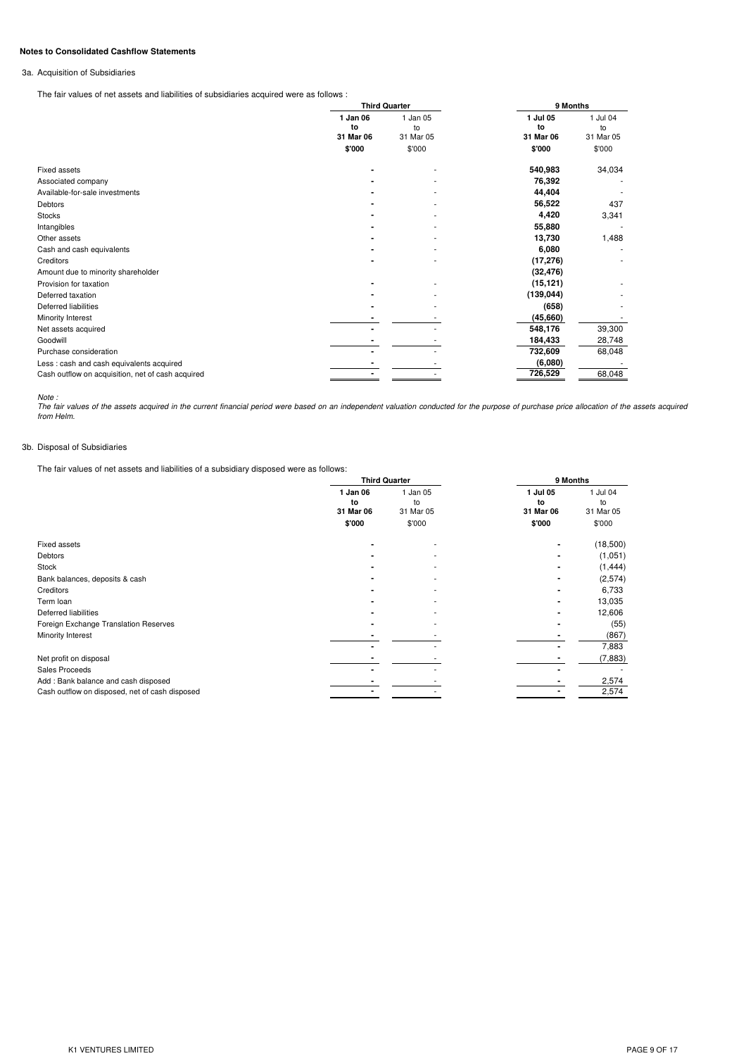# **Notes to Consolidated Cashflow Statements**

### 3a. Acquisition of Subsidiaries

The fair values of net assets and liabilities of subsidiaries acquired were as follows :

|                                                   |                | <b>Third Quarter</b> | 9 Months       |                |
|---------------------------------------------------|----------------|----------------------|----------------|----------------|
|                                                   | 1 Jan 06<br>to | 1 Jan 05<br>to       | 1 Jul 05<br>to | 1 Jul 04<br>to |
|                                                   | 31 Mar 06      | 31 Mar 05            | 31 Mar 06      | 31 Mar 05      |
|                                                   | \$'000         | \$'000               | \$'000         | \$'000         |
| Fixed assets                                      |                |                      | 540,983        | 34,034         |
| Associated company                                |                |                      | 76,392         |                |
| Available-for-sale investments                    |                |                      | 44,404         |                |
| Debtors                                           |                |                      | 56,522         | 437            |
| <b>Stocks</b>                                     |                |                      | 4,420          | 3,341          |
| Intangibles                                       |                |                      | 55,880         |                |
| Other assets                                      |                |                      | 13,730         | 1,488          |
| Cash and cash equivalents                         |                |                      | 6,080          |                |
| Creditors                                         |                | ٠                    | (17, 276)      |                |
| Amount due to minority shareholder                |                |                      | (32, 476)      |                |
| Provision for taxation                            |                |                      | (15, 121)      |                |
| Deferred taxation                                 |                |                      | (139, 044)     |                |
| Deferred liabilities                              |                |                      | (658)          |                |
| Minority Interest                                 |                |                      | (45,660)       |                |
| Net assets acquired                               |                |                      | 548,176        | 39,300         |
| Goodwill                                          |                |                      | 184,433        | 28,748         |
| Purchase consideration                            |                |                      | 732,609        | 68,048         |
| Less: cash and cash equivalents acquired          |                |                      | (6,080)        |                |
| Cash outflow on acquisition, net of cash acquired |                |                      | 726,529        | 68,048         |

Note :<br>The fair values of the assets acquired in the current financial period were based on an independent valuation conducted for the purpose of purchase price allocation of the assets acquired<br>from Helm.

### 3b. Disposal of Subsidiaries

The fair values of net assets and liabilities of a subsidiary disposed were as follows:

|                                                |                             | <b>Third Quarter</b>        | 9 Months                  |                             |  |
|------------------------------------------------|-----------------------------|-----------------------------|---------------------------|-----------------------------|--|
|                                                | 1 Jan 06<br>to<br>31 Mar 06 | 1 Jan 05<br>to<br>31 Mar 05 | Jul 05<br>to<br>31 Mar 06 | 1 Jul 04<br>to<br>31 Mar 05 |  |
|                                                | \$'000                      | \$'000                      | \$'000                    | \$'000                      |  |
| Fixed assets                                   |                             | ٠                           |                           | (18,500)                    |  |
| Debtors                                        |                             | ٠                           |                           | (1,051)                     |  |
| Stock                                          |                             | ٠                           |                           | (1, 444)                    |  |
| Bank balances, deposits & cash                 |                             | ۰                           |                           | (2,574)                     |  |
| Creditors                                      |                             | ۰                           |                           | 6,733                       |  |
| Term loan                                      |                             |                             |                           | 13,035                      |  |
| Deferred liabilities                           |                             | ٠                           |                           | 12,606                      |  |
| Foreign Exchange Translation Reserves          |                             |                             |                           | (55)                        |  |
| Minority Interest                              |                             |                             |                           | (867)                       |  |
|                                                |                             |                             |                           | 7,883                       |  |
| Net profit on disposal                         |                             |                             |                           | (7, 883)                    |  |
| <b>Sales Proceeds</b>                          |                             |                             |                           |                             |  |
| Add: Bank balance and cash disposed            |                             |                             |                           | 2,574                       |  |
| Cash outflow on disposed, net of cash disposed |                             |                             |                           | 2,574                       |  |
|                                                |                             |                             |                           |                             |  |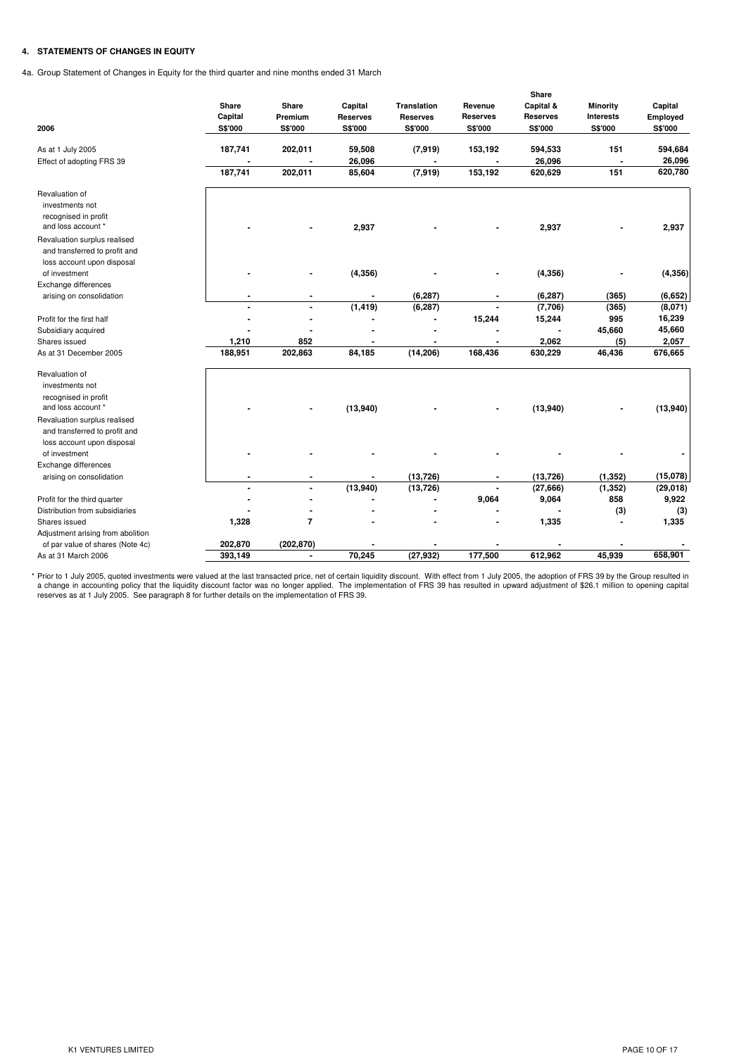# **4. STATEMENTS OF CHANGES IN EQUITY**

4a. Group Statement of Changes in Equity for the third quarter and nine months ended 31 March

| 2006                                                          | Share<br>Capital<br>S\$'000 | Share<br>Premium<br>S\$'000 | Capital<br><b>Reserves</b><br>S\$'000 | <b>Translation</b><br><b>Reserves</b><br>S\$'000 | Revenue<br><b>Reserves</b><br>S\$'000 | Share<br>Capital &<br><b>Reserves</b><br>S\$'000 | <b>Minority</b><br><b>Interests</b><br>S\$'000 | Capital<br>Employed<br>S\$'000 |
|---------------------------------------------------------------|-----------------------------|-----------------------------|---------------------------------------|--------------------------------------------------|---------------------------------------|--------------------------------------------------|------------------------------------------------|--------------------------------|
| As at 1 July 2005                                             | 187,741                     | 202,011                     | 59,508                                | (7, 919)                                         | 153,192                               | 594,533                                          | 151                                            | 594,684                        |
| Effect of adopting FRS 39                                     | 187,741                     | 202,011                     | 26,096<br>85,604                      | (7, 919)                                         | 153,192                               | 26,096<br>620,629                                | 151                                            | 26,096<br>620,780              |
| Revaluation of                                                |                             |                             |                                       |                                                  |                                       |                                                  |                                                |                                |
| investments not                                               |                             |                             |                                       |                                                  |                                       |                                                  |                                                |                                |
| recognised in profit<br>and loss account *                    |                             |                             | 2,937                                 |                                                  |                                       | 2,937                                            |                                                | 2,937                          |
| Revaluation surplus realised<br>and transferred to profit and |                             |                             |                                       |                                                  |                                       |                                                  |                                                |                                |
| loss account upon disposal                                    |                             |                             |                                       |                                                  |                                       |                                                  |                                                |                                |
| of investment                                                 |                             | ٠                           | (4, 356)                              |                                                  |                                       | (4, 356)                                         |                                                | (4, 356)                       |
| Exchange differences                                          |                             |                             |                                       |                                                  |                                       |                                                  |                                                |                                |
| arising on consolidation                                      |                             |                             |                                       | (6, 287)                                         |                                       | (6, 287)                                         | (365)                                          | (6,652)                        |
|                                                               |                             | ÷                           | (1, 419)                              | (6, 287)                                         | ÷.                                    | (7,706)                                          | (365)                                          | (8,071)                        |
| Profit for the first half                                     |                             |                             |                                       |                                                  | 15,244                                | 15,244                                           | 995                                            | 16,239                         |
| Subsidiary acquired                                           |                             |                             |                                       |                                                  |                                       |                                                  | 45,660                                         | 45,660                         |
| Shares issued                                                 | 1,210                       | 852                         |                                       |                                                  |                                       | 2,062                                            | (5)                                            | 2,057                          |
| As at 31 December 2005                                        | 188,951                     | 202,863                     | 84,185                                | (14, 206)                                        | 168,436                               | 630,229                                          | 46,436                                         | 676,665                        |
| Revaluation of                                                |                             |                             |                                       |                                                  |                                       |                                                  |                                                |                                |
| investments not                                               |                             |                             |                                       |                                                  |                                       |                                                  |                                                |                                |
| recognised in profit                                          |                             |                             |                                       |                                                  |                                       |                                                  |                                                |                                |
| and loss account *                                            |                             |                             | (13,940)                              |                                                  |                                       | (13,940)                                         |                                                | (13,940)                       |
| Revaluation surplus realised                                  |                             |                             |                                       |                                                  |                                       |                                                  |                                                |                                |
| and transferred to profit and                                 |                             |                             |                                       |                                                  |                                       |                                                  |                                                |                                |
| loss account upon disposal                                    |                             |                             |                                       |                                                  |                                       |                                                  |                                                |                                |
| of investment                                                 |                             |                             |                                       |                                                  |                                       |                                                  |                                                |                                |
| Exchange differences                                          |                             |                             |                                       |                                                  |                                       |                                                  |                                                |                                |
| arising on consolidation                                      |                             |                             |                                       | (13, 726)                                        |                                       | (13, 726)                                        | (1, 352)                                       | (15,078)                       |
|                                                               |                             |                             | (13,940)                              | (13, 726)                                        |                                       | (27, 666)                                        | (1, 352)                                       | (29, 018)                      |
| Profit for the third quarter                                  |                             |                             |                                       |                                                  | 9,064                                 | 9,064                                            | 858                                            | 9,922                          |
| Distribution from subsidiaries                                |                             |                             |                                       |                                                  |                                       |                                                  | (3)                                            | (3)                            |
| Shares issued                                                 | 1,328                       | 7                           |                                       |                                                  |                                       | 1,335                                            |                                                | 1,335                          |
| Adjustment arising from abolition                             |                             |                             |                                       |                                                  |                                       |                                                  |                                                |                                |
| of par value of shares (Note 4c)                              | 202,870                     | (202, 870)                  |                                       |                                                  |                                       |                                                  |                                                |                                |
| As at 31 March 2006                                           | 393,149                     | $\blacksquare$              | 70,245                                | (27, 932)                                        | 177,500                               | 612,962                                          | 45,939                                         | 658,901                        |

\* Prior to 1 July 2005, quoted investments were valued at the last transacted price, net of certain liquidity discount. With effect from 1 July 2005, the adoption of FRS 39 by the Group resulted in<br>a change in accounting p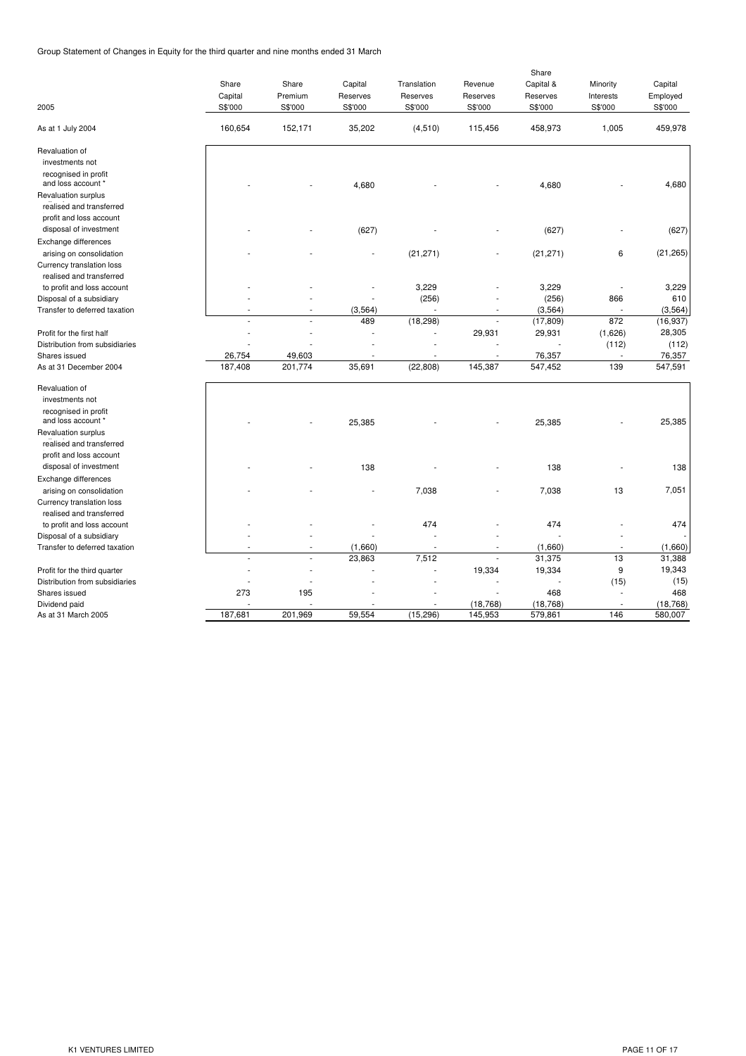Group Statement of Changes in Equity for the third quarter and nine months ended 31 March

| 2005                                                  | Share<br>Capital<br>S\$'000 | Share<br>Premium<br>S\$'000 | Capital<br>Reserves<br>S\$'000 | Translation<br>Reserves<br>S\$'000 | Revenue<br>Reserves<br>S\$'000 | Share<br>Capital &<br>Reserves<br>S\$'000 | Minority<br>Interests<br>S\$'000 | Capital<br>Employed<br>S\$'000 |
|-------------------------------------------------------|-----------------------------|-----------------------------|--------------------------------|------------------------------------|--------------------------------|-------------------------------------------|----------------------------------|--------------------------------|
| As at 1 July 2004                                     | 160,654                     | 152,171                     | 35,202                         | (4, 510)                           | 115,456                        | 458,973                                   | 1,005                            | 459,978                        |
| Revaluation of                                        |                             |                             |                                |                                    |                                |                                           |                                  |                                |
| investments not<br>recognised in profit               |                             |                             |                                |                                    |                                |                                           |                                  |                                |
| and loss account *                                    |                             |                             | 4,680                          |                                    |                                | 4,680                                     |                                  | 4,680                          |
| Revaluation surplus                                   |                             |                             |                                |                                    |                                |                                           |                                  |                                |
| realised and transferred                              |                             |                             |                                |                                    |                                |                                           |                                  |                                |
| profit and loss account                               |                             |                             |                                |                                    |                                |                                           |                                  |                                |
| disposal of investment                                |                             |                             | (627)                          |                                    |                                | (627)                                     |                                  | (627)                          |
| Exchange differences                                  |                             |                             |                                |                                    |                                |                                           |                                  |                                |
| arising on consolidation                              |                             |                             |                                | (21, 271)                          |                                | (21, 271)                                 | 6                                | (21, 265)                      |
| Currency translation loss<br>realised and transferred |                             |                             |                                |                                    |                                |                                           |                                  |                                |
| to profit and loss account                            |                             |                             |                                | 3,229                              |                                | 3,229                                     |                                  | 3,229                          |
| Disposal of a subsidiary                              |                             |                             |                                | (256)                              |                                | (256)                                     | 866                              | 610                            |
| Transfer to deferred taxation                         |                             | ٠                           | (3, 564)                       | ×                                  | ٠                              | (3, 564)                                  |                                  | (3, 564)                       |
|                                                       |                             |                             | 489                            | (18, 298)                          | J.                             | (17, 809)                                 | 872                              | (16, 937)                      |
| Profit for the first half                             |                             |                             |                                |                                    | 29,931                         | 29,931                                    | (1,626)                          | 28,305                         |
| Distribution from subsidiaries                        |                             |                             |                                |                                    |                                |                                           | (112)                            | (112)                          |
| Shares issued                                         | 26,754                      | 49,603                      |                                |                                    |                                | 76,357                                    |                                  | 76,357                         |
| As at 31 December 2004                                | 187,408                     | 201,774                     | 35,691                         | (22, 808)                          | 145,387                        | 547,452                                   | 139                              | 547,591                        |
| Revaluation of                                        |                             |                             |                                |                                    |                                |                                           |                                  |                                |
| investments not                                       |                             |                             |                                |                                    |                                |                                           |                                  |                                |
| recognised in profit                                  |                             |                             |                                |                                    |                                |                                           |                                  |                                |
| and loss account *                                    |                             |                             | 25,385                         |                                    |                                | 25,385                                    |                                  | 25,385                         |
| Revaluation surplus                                   |                             |                             |                                |                                    |                                |                                           |                                  |                                |
| realised and transferred                              |                             |                             |                                |                                    |                                |                                           |                                  |                                |
| profit and loss account                               |                             |                             |                                |                                    |                                |                                           |                                  |                                |
| disposal of investment                                |                             |                             | 138                            |                                    |                                | 138                                       |                                  | 138                            |
| Exchange differences                                  |                             |                             |                                |                                    |                                |                                           |                                  |                                |
| arising on consolidation                              |                             |                             |                                | 7,038                              |                                | 7,038                                     | 13                               | 7,051                          |
| Currency translation loss<br>realised and transferred |                             |                             |                                |                                    |                                |                                           |                                  |                                |
| to profit and loss account                            |                             |                             |                                | 474                                |                                | 474                                       |                                  | 474                            |
| Disposal of a subsidiary                              |                             |                             |                                |                                    |                                |                                           |                                  |                                |
| Transfer to deferred taxation                         |                             |                             | (1,660)                        | $\overline{\phantom{a}}$           |                                | (1,660)                                   |                                  | (1,660)                        |
|                                                       |                             |                             | 23,863                         | 7,512                              |                                | 31,375                                    | 13                               | 31,388                         |
| Profit for the third quarter                          |                             |                             |                                |                                    | 19,334                         | 19,334                                    | 9                                | 19,343                         |
| Distribution from subsidiaries                        |                             |                             |                                |                                    |                                |                                           | (15)                             | (15)                           |
| Shares issued                                         | 273                         | 195                         |                                |                                    |                                | 468                                       |                                  | 468                            |
| Dividend paid                                         |                             |                             |                                |                                    | (18, 768)                      | (18, 768)                                 |                                  | (18, 768)                      |
| As at 31 March 2005                                   | 187,681                     | 201,969                     | 59,554                         | (15, 296)                          | 145,953                        | 579,861                                   | 146                              | 580,007                        |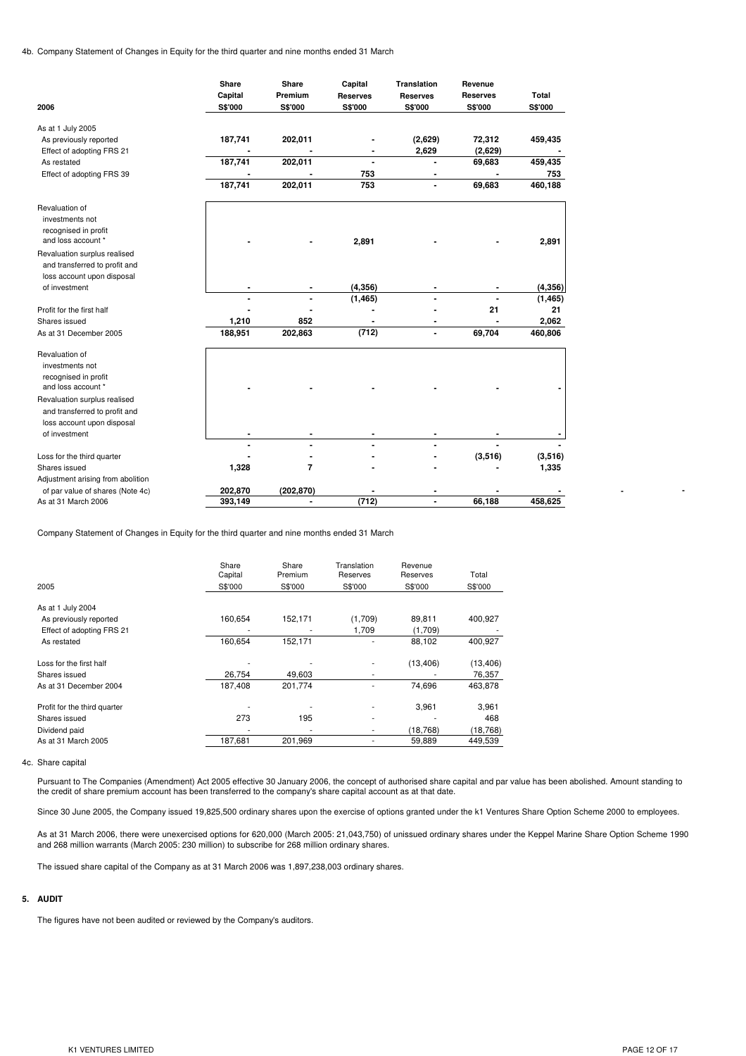4b. Company Statement of Changes in Equity for the third quarter and nine months ended 31 March

|                                            | Share   | Share          | Capital                          | Translation     | Revenue         |                |
|--------------------------------------------|---------|----------------|----------------------------------|-----------------|-----------------|----------------|
|                                            | Capital | Premium        | <b>Reserves</b>                  | <b>Reserves</b> | <b>Reserves</b> | Total          |
| 2006                                       | S\$'000 | S\$'000        | S\$'000                          | S\$'000         | S\$'000         | S\$'000        |
| As at 1 July 2005                          |         |                |                                  |                 |                 |                |
| As previously reported                     | 187,741 | 202,011        |                                  | (2,629)         | 72,312          | 459,435        |
|                                            |         |                |                                  | 2,629           | (2,629)         |                |
| Effect of adopting FRS 21<br>As restated   | 187,741 | 202,011        | $\blacksquare$<br>$\blacksquare$ | $\blacksquare$  | 69,683          | 459,435        |
|                                            |         |                | 753                              |                 |                 |                |
| Effect of adopting FRS 39                  | 187,741 | 202,011        | 753                              | $\blacksquare$  | 69,683          | 753<br>460,188 |
|                                            |         |                |                                  |                 |                 |                |
| Revaluation of                             |         |                |                                  |                 |                 |                |
| investments not                            |         |                |                                  |                 |                 |                |
| recognised in profit                       |         |                |                                  |                 |                 |                |
| and loss account *                         |         |                | 2,891                            |                 |                 | 2,891          |
| Revaluation surplus realised               |         |                |                                  |                 |                 |                |
| and transferred to profit and              |         |                |                                  |                 |                 |                |
| loss account upon disposal                 |         |                |                                  |                 |                 |                |
| of investment                              |         |                | (4, 356)                         |                 |                 | (4, 356)       |
|                                            | ÷,      | $\blacksquare$ | (1, 465)                         |                 | $\blacksquare$  | (1, 465)       |
| Profit for the first half                  |         |                |                                  |                 | 21              | 21             |
| Shares issued                              | 1,210   | 852            | ٠                                |                 | $\blacksquare$  | 2,062          |
| As at 31 December 2005                     | 188,951 | 202,863        | (712)                            | $\blacksquare$  | 69,704          | 460,806        |
|                                            |         |                |                                  |                 |                 |                |
| Revaluation of                             |         |                |                                  |                 |                 |                |
| investments not                            |         |                |                                  |                 |                 |                |
| recognised in profit<br>and loss account * |         |                |                                  |                 |                 |                |
|                                            |         |                |                                  |                 |                 |                |
| Revaluation surplus realised               |         |                |                                  |                 |                 |                |
| and transferred to profit and              |         |                |                                  |                 |                 |                |
| loss account upon disposal                 |         |                |                                  |                 |                 |                |
| of investment                              |         |                |                                  |                 |                 |                |
|                                            | ÷       |                |                                  |                 |                 |                |
| Loss for the third quarter                 |         |                |                                  |                 | (3, 516)        | (3,516)        |
| Shares issued                              | 1,328   | $\overline{7}$ |                                  |                 |                 | 1,335          |
| Adjustment arising from abolition          |         |                |                                  |                 |                 |                |
| of par value of shares (Note 4c)           | 202,870 | (202, 870)     |                                  | ٠               |                 |                |
| As at 31 March 2006                        | 393,149 | $\blacksquare$ | (712)                            | $\blacksquare$  | 66,188          | 458,625        |

Company Statement of Changes in Equity for the third quarter and nine months ended 31 March

|                              | Share   | Share   | Translation | Revenue   |           |
|------------------------------|---------|---------|-------------|-----------|-----------|
|                              | Capital | Premium | Reserves    | Reserves  | Total     |
| 2005                         | S\$'000 | S\$'000 | S\$'000     | S\$'000   | S\$'000   |
| As at 1 July 2004            |         |         |             |           |           |
| As previously reported       | 160,654 | 152,171 | (1,709)     | 89,811    | 400,927   |
| Effect of adopting FRS 21    |         |         | 1,709       | (1,709)   |           |
| As restated                  | 160,654 | 152,171 |             | 88,102    | 400,927   |
| Loss for the first half      |         |         |             | (13, 406) | (13, 406) |
| Shares issued                | 26.754  | 49.603  |             |           | 76,357    |
| As at 31 December 2004       | 187.408 | 201,774 |             | 74.696    | 463,878   |
| Profit for the third quarter |         |         |             | 3,961     | 3,961     |
| Shares issued                | 273     | 195     |             |           | 468       |
| Dividend paid                |         |         |             | (18, 768) | (18, 768) |
| As at 31 March 2005          | 187,681 | 201,969 |             | 59,889    | 449,539   |

#### 4c. Share capital

Pursuant to The Companies (Amendment) Act 2005 effective 30 January 2006, the concept of authorised share capital and par value has been abolished. Amount standing to the credit of share premium account has been transferred to the company's share capital account as at that date.

Since 30 June 2005, the Company issued 19,825,500 ordinary shares upon the exercise of options granted under the k1 Ventures Share Option Scheme 2000 to employees.

As at 31 March 2006, there were unexercised options for 620,000 (March 2005: 21,043,750) of unissued ordinary shares under the Keppel Marine Share Option Scheme 1990 and 268 million warrants (March 2005: 230 million) to subscribe for 268 million ordinary shares.

The issued share capital of the Company as at 31 March 2006 was 1,897,238,003 ordinary shares.

### **5. AUDIT**

The figures have not been audited or reviewed by the Company's auditors.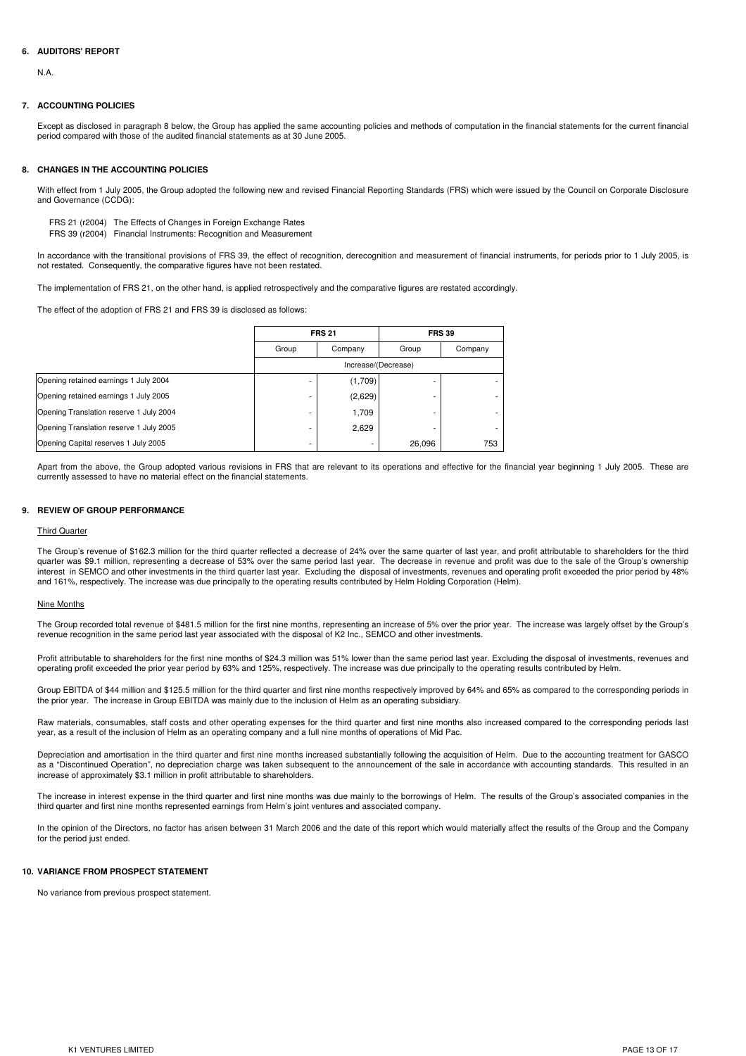## **6. AUDITORS' REPORT**

N.A.

#### **7. ACCOUNTING POLICIES**

Except as disclosed in paragraph 8 below, the Group has applied the same accounting policies and methods of computation in the financial statements for the current financial period compared with those of the audited financial statements as at 30 June 2005.

#### **8. CHANGES IN THE ACCOUNTING POLICIES**

With effect from 1 July 2005, the Group adopted the following new and revised Financial Reporting Standards (FRS) which were issued by the Council on Corporate Disclosure and Governance (CCDG):

FRS 21 (r2004) The Effects of Changes in Foreign Exchange Rates FRS 39 (r2004) Financial Instruments: Recognition and Measurement

In accordance with the transitional provisions of FRS 39, the effect of recognition, derecognition and measurement of financial instruments, for periods prior to 1 July 2005, is not restated. Consequently, the comparative figures have not been restated.

The implementation of FRS 21, on the other hand, is applied retrospectively and the comparative figures are restated accordingly.

The effect of the adoption of FRS 21 and FRS 39 is disclosed as follows:

|                                         |       | <b>FRS 21</b>       |        | <b>FRS 39</b> |  |  |  |  |
|-----------------------------------------|-------|---------------------|--------|---------------|--|--|--|--|
|                                         | Group | Company             | Group  | Company       |  |  |  |  |
|                                         |       | Increase/(Decrease) |        |               |  |  |  |  |
| Opening retained earnings 1 July 2004   |       | (1,709)             |        |               |  |  |  |  |
| Opening retained earnings 1 July 2005   |       | (2,629)             |        |               |  |  |  |  |
| Opening Translation reserve 1 July 2004 | ۰     | 1,709               |        |               |  |  |  |  |
| Opening Translation reserve 1 July 2005 |       | 2,629               |        |               |  |  |  |  |
| Opening Capital reserves 1 July 2005    | ۰     |                     | 26.096 | 753           |  |  |  |  |

Apart from the above, the Group adopted various revisions in FRS that are relevant to its operations and effective for the financial year beginning 1 July 2005. These are currently assessed to have no material effect on the financial statements.

#### **9. REVIEW OF GROUP PERFORMANCE**

#### Third Quarter

The Group's revenue of \$162.3 million for the third quarter reflected a decrease of 24% over the same quarter of last year, and profit attributable to shareholders for the third quarter was \$9.1 million, representing a decrease of 53% over the same period last year. The decrease in revenue and profit was due to the sale of the Group's ownership Interest in SEMCO and other investments in the third quarter last year. Excluding the disposal of investments, revenues and operating profit exceeded the prior period by 48% and 161%, respectively. The increase was due principally to the operating results contributed by Helm Holding Corporation (Helm).

#### Nine Months

The Group recorded total revenue of \$481.5 million for the first nine months, representing an increase of 5% over the prior year. The increase was largely offset by the Group's revenue recognition in the same period last year associated with the disposal of K2 Inc., SEMCO and other investments.

Profit attributable to shareholders for the first nine months of \$24.3 million was 51% lower than the same period last year. Excluding the disposal of investments, revenues and operating profit exceeded the prior year period by 63% and 125%, respectively. The increase was due principally to the operating results contributed by Helm.

Group EBITDA of \$44 million and \$125.5 million for the third quarter and first nine months respectively improved by 64% and 65% as compared to the corresponding periods in the prior year. The increase in Group EBITDA was mainly due to the inclusion of Helm as an operating subsidiary.

Raw materials, consumables, staff costs and other operating expenses for the third quarter and first nine months also increased compared to the corresponding periods last year, as a result of the inclusion of Helm as an operating company and a full nine months of operations of Mid Pac.

Depreciation and amortisation in the third quarter and first nine months increased substantially following the acquisition of Helm. Due to the accounting treatment for GASCO as a "Discontinued Operation", no depreciation charge was taken subsequent to the announcement of the sale in accordance with accounting standards. This resulted in an increase of approximately \$3.1 million in profit attributable to shareholders.

The increase in interest expense in the third quarter and first nine months was due mainly to the borrowings of Helm. The results of the Group's associated companies in the third quarter and first nine months represented earnings from Helm's joint ventures and associated company.

In the opinion of the Directors, no factor has arisen between 31 March 2006 and the date of this report which would materially affect the results of the Group and the Company for the period just ended.

#### **10. VARIANCE FROM PROSPECT STATEMENT**

No variance from previous prospect statement.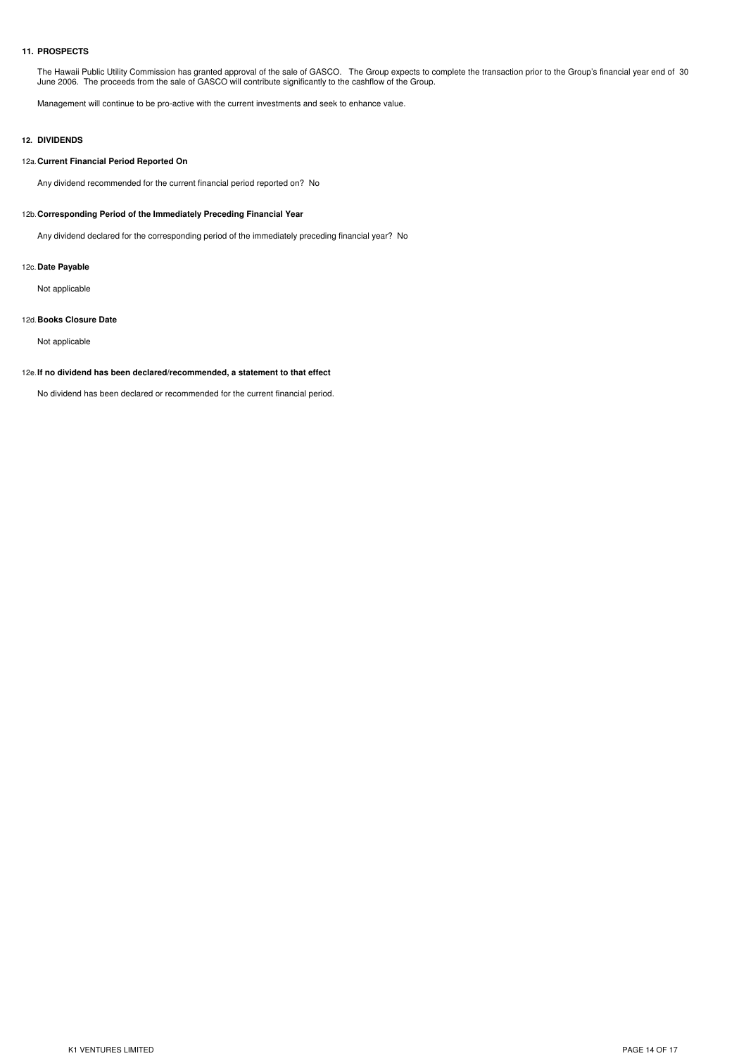## **11. PROSPECTS**

The Hawaii Public Utility Commission has granted approval of the sale of GASCO. The Group expects to complete the transaction prior to the Group's financial year end of 30 June 2006. The proceeds from the sale of GASCO will contribute significantly to the cashflow of the Group.

Management will continue to be pro-active with the current investments and seek to enhance value.

# **12. DIVIDENDS**

#### 12a.**Current Financial Period Reported On**

Any dividend recommended for the current financial period reported on? No

#### 12b.**Corresponding Period of the Immediately Preceding Financial Year**

Any dividend declared for the corresponding period of the immediately preceding financial year? No

### 12c.**Date Payable**

Not applicable

#### 12d.**Books Closure Date**

Not applicable

#### 12e.**If no dividend has been declared/recommended, a statement to that effect**

No dividend has been declared or recommended for the current financial period.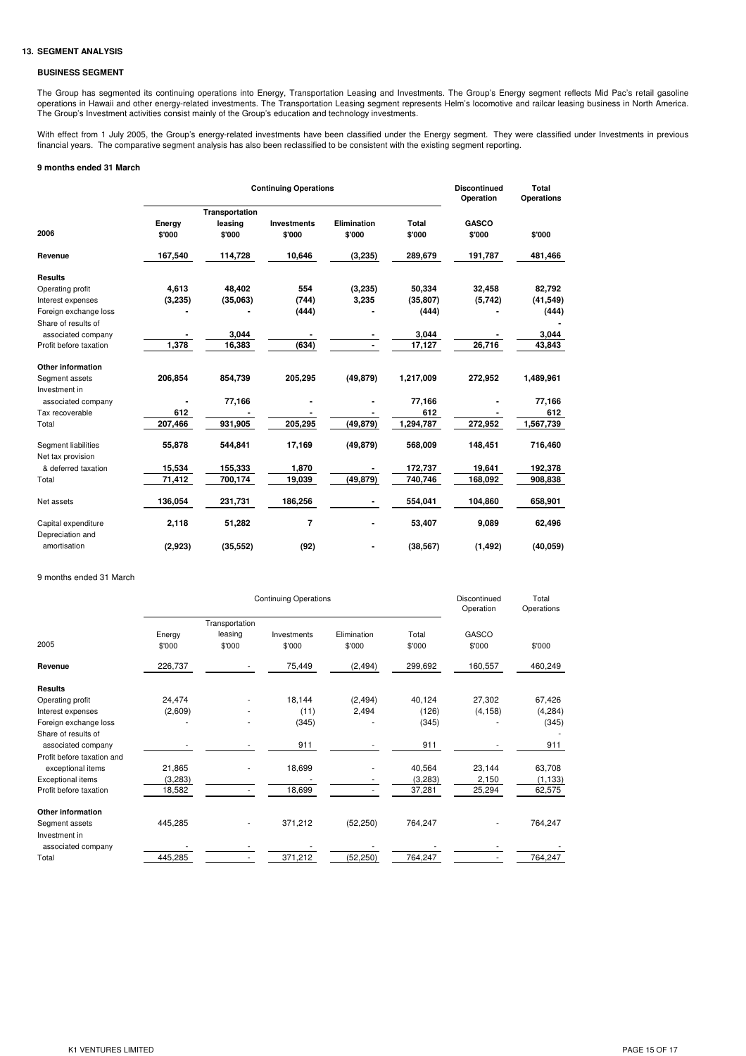# **13. SEGMENT ANALYSIS**

#### **BUSINESS SEGMENT**

The Group has segmented its continuing operations into Energy, Transportation Leasing and Investments. The Group's Energy segment reflects Mid Pac's retail gasoline operations in Hawaii and other energy-related investments. The Transportation Leasing segment represents Helm's locomotive and railcar leasing business in North America. The Group's Investment activities consist mainly of the Group's education and technology investments.

With effect from 1 July 2005, the Group's energy-related investments have been classified under the Energy segment. They were classified under Investments in previous financial years. The comparative segment analysis has also been reclassified to be consistent with the existing segment reporting.

# **9 months ended 31 March**

|                          |                  |                           | <b>Continuing Operations</b> |                |           | <b>Discontinued</b><br>Operation | Total<br><b>Operations</b> |  |
|--------------------------|------------------|---------------------------|------------------------------|----------------|-----------|----------------------------------|----------------------------|--|
|                          |                  | Transportation<br>leasing | <b>Investments</b>           | Elimination    | Total     | <b>GASCO</b>                     |                            |  |
| 2006                     | Energy<br>\$'000 | \$'000                    | \$'000                       | \$'000         | \$'000    | \$'000                           | \$'000                     |  |
| Revenue                  | 167,540          | 114,728                   | 10,646                       | (3,235)        | 289,679   | 191,787                          | 481,466                    |  |
| <b>Results</b>           |                  |                           |                              |                |           |                                  |                            |  |
| Operating profit         | 4,613            | 48,402                    | 554                          | (3,235)        | 50,334    | 32,458                           | 82,792                     |  |
| Interest expenses        | (3,235)          | (35,063)                  | (744)                        | 3,235          | (35, 807) | (5,742)                          | (41, 549)                  |  |
| Foreign exchange loss    |                  |                           | (444)                        |                | (444)     |                                  | (444)                      |  |
| Share of results of      |                  |                           |                              |                |           |                                  |                            |  |
| associated company       |                  | 3,044                     |                              |                | 3,044     |                                  | 3,044                      |  |
| Profit before taxation   | 1,378            | 16,383                    | (634)                        |                | 17,127    | 26,716                           | 43,843                     |  |
| <b>Other information</b> |                  |                           |                              |                |           |                                  |                            |  |
| Segment assets           | 206,854          | 854,739                   | 205,295                      | (49, 879)      | 1,217,009 | 272,952                          | 1,489,961                  |  |
| Investment in            |                  |                           |                              |                |           |                                  |                            |  |
| associated company       |                  | 77,166                    |                              |                | 77,166    |                                  | 77,166                     |  |
| Tax recoverable          | 612              |                           |                              |                | 612       |                                  | 612                        |  |
| Total                    | 207,466          | 931,905                   | 205,295                      | (49, 879)      | 1,294,787 | 272,952                          | 1,567,739                  |  |
| Segment liabilities      | 55,878           | 544,841                   | 17,169                       | (49, 879)      | 568,009   | 148,451                          | 716,460                    |  |
| Net tax provision        |                  |                           |                              |                |           |                                  |                            |  |
| & deferred taxation      | 15,534           | 155,333                   | 1,870                        |                | 172,737   | 19,641                           | 192,378                    |  |
| Total                    | 71,412           | 700,174                   | 19,039                       | (49, 879)      | 740,746   | 168,092                          | 908,838                    |  |
| Net assets               | 136,054          | 231,731                   | 186,256                      | $\blacksquare$ | 554,041   | 104,860                          | 658,901                    |  |
| Capital expenditure      | 2,118            | 51,282                    | 7                            |                | 53,407    | 9,089                            | 62,496                     |  |
| Depreciation and         |                  |                           |                              |                |           |                                  |                            |  |
| amortisation             | (2,923)          | (35, 552)                 | (92)                         |                | (38, 567) | (1, 492)                         | (40, 059)                  |  |

#### 9 months ended 31 March

|                            |         | Discontinued<br>Operation | Total<br>Operations |             |         |          |          |
|----------------------------|---------|---------------------------|---------------------|-------------|---------|----------|----------|
|                            |         | Transportation            |                     |             |         |          |          |
|                            | Energy  | leasing                   | Investments         | Elimination | Total   | GASCO    |          |
| 2005                       | \$'000  | \$'000                    | \$'000              | \$'000      | \$'000  | \$'000   | \$'000   |
| Revenue                    | 226,737 |                           | 75,449              | (2, 494)    | 299,692 | 160,557  | 460,249  |
| <b>Results</b>             |         |                           |                     |             |         |          |          |
| Operating profit           | 24,474  |                           | 18,144              | (2, 494)    | 40,124  | 27,302   | 67,426   |
| Interest expenses          | (2,609) |                           | (11)                | 2,494       | (126)   | (4, 158) | (4,284)  |
| Foreign exchange loss      |         |                           | (345)               |             | (345)   |          | (345)    |
| Share of results of        |         |                           |                     |             |         |          |          |
| associated company         |         |                           | 911                 |             | 911     |          | 911      |
| Profit before taxation and |         |                           |                     |             |         |          |          |
| exceptional items          | 21,865  |                           | 18,699              |             | 40,564  | 23,144   | 63,708   |
| Exceptional items          | (3,283) |                           |                     |             | (3,283) | 2,150    | (1, 133) |
| Profit before taxation     | 18,582  | ٠                         | 18,699              |             | 37,281  | 25,294   | 62,575   |
| Other information          |         |                           |                     |             |         |          |          |
| Segment assets             | 445,285 |                           | 371,212             | (52, 250)   | 764,247 |          | 764,247  |
| Investment in              |         |                           |                     |             |         |          |          |
| associated company         |         |                           |                     |             |         |          |          |
| Total                      | 445,285 | ۰.                        | 371,212             | (52, 250)   | 764,247 |          | 764,247  |
|                            |         |                           |                     |             |         |          |          |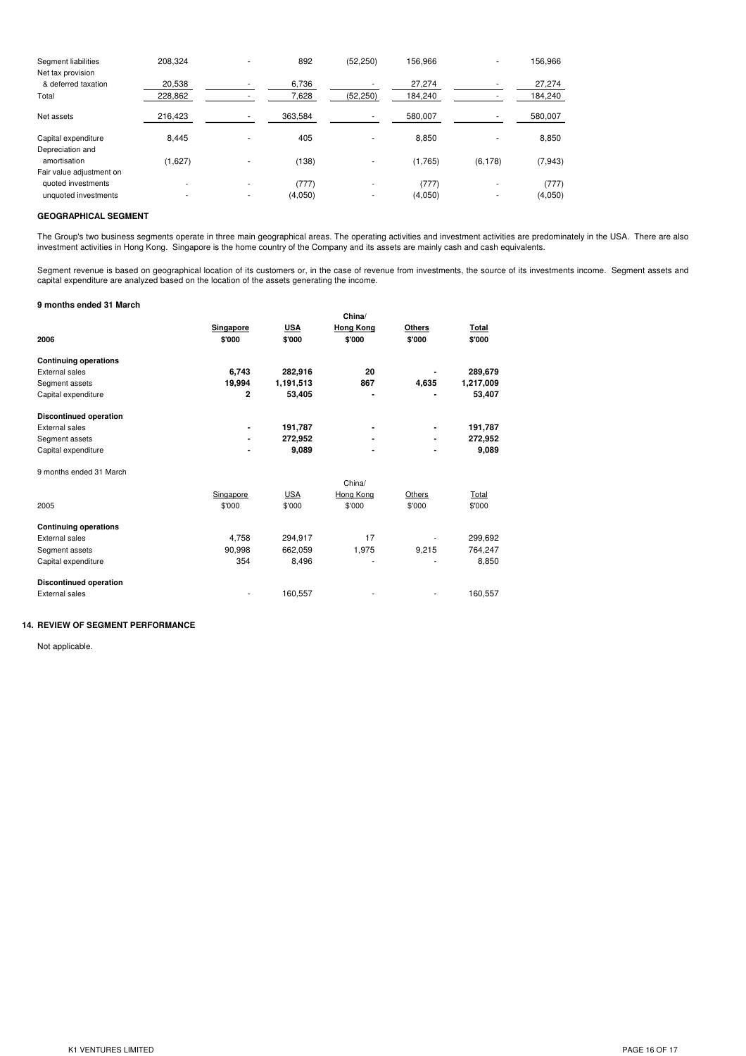| 208.324 |   | 892     | (52, 250)                | 156.966 | ۰        | 156,966  |
|---------|---|---------|--------------------------|---------|----------|----------|
| 20,538  |   | 6,736   |                          | 27,274  |          | 27,274   |
| 228,862 |   | 7,628   | (52, 250)                | 184,240 |          | 184,240  |
| 216,423 |   | 363,584 |                          | 580,007 |          | 580,007  |
| 8.445   |   | 405     |                          | 8,850   |          | 8,850    |
| (1,627) |   | (138)   |                          | (1,765) | (6, 178) | (7, 943) |
|         |   |         |                          |         |          |          |
| ۰       | ۰ |         |                          |         | ۰        | (777)    |
| ۰       | ۰ | (4,050) | $\overline{\phantom{a}}$ | (4,050) |          | (4,050)  |
|         |   |         | (777)                    |         | (777)    |          |

## **GEOGRAPHICAL SEGMENT**

The Group's two business segments operate in three main geographical areas. The operating activities and investment activities are predominately in the USA. There are also investment activities in Hong Kong. Singapore is the home country of the Company and its assets are mainly cash and cash equivalents.

Segment revenue is based on geographical location of its customers or, in the case of revenue from investments, the source of its investments income. Segment assets and capital expenditure are analyzed based on the location of the assets generating the income.

#### **9 months ended 31 March**

|                               |           |            | China/           |               |           |
|-------------------------------|-----------|------------|------------------|---------------|-----------|
|                               | Singapore | <b>USA</b> | <b>Hong Kong</b> | <b>Others</b> | Total     |
| 2006                          | \$'000    | \$'000     | \$'000           | \$'000        | \$'000    |
| <b>Continuing operations</b>  |           |            |                  |               |           |
| External sales                | 6,743     | 282,916    | 20               |               | 289,679   |
| Segment assets                | 19,994    | 1,191,513  | 867              | 4,635         | 1,217,009 |
| Capital expenditure           | 2         | 53,405     |                  |               | 53,407    |
| <b>Discontinued operation</b> |           |            |                  |               |           |
| External sales                |           | 191,787    |                  |               | 191,787   |
| Segment assets                |           | 272,952    |                  |               | 272,952   |
| Capital expenditure           |           | 9,089      |                  |               | 9,089     |
| 9 months ended 31 March       |           |            |                  |               |           |
|                               |           |            | China/           |               |           |
|                               | Singapore | <b>USA</b> | Hong Kong        | Others        | Total     |
| 2005                          | \$'000    | \$'000     | \$'000           | \$'000        | \$'000    |
| <b>Continuing operations</b>  |           |            |                  |               |           |
| <b>External sales</b>         | 4,758     | 294,917    | 17               |               | 299,692   |
| Segment assets                | 90.998    | 662.059    | 1,975            | 9,215         | 764,247   |
| Capital expenditure           | 354       | 8,496      |                  |               | 8,850     |
| <b>Discontinued operation</b> |           |            |                  |               |           |
| <b>External sales</b>         |           | 160,557    |                  |               | 160,557   |

# **14. REVIEW OF SEGMENT PERFORMANCE**

Not applicable.